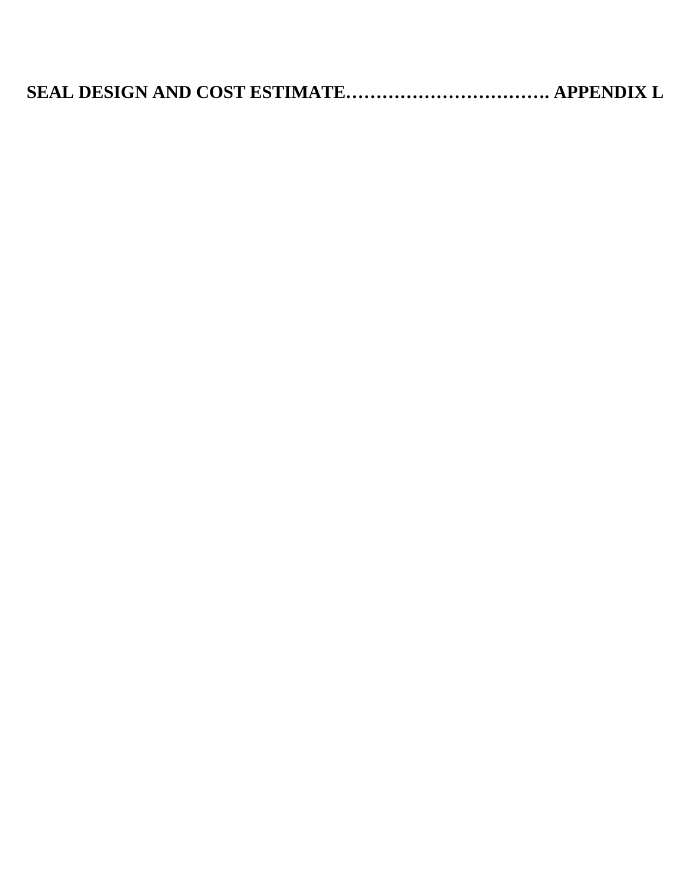|--|--|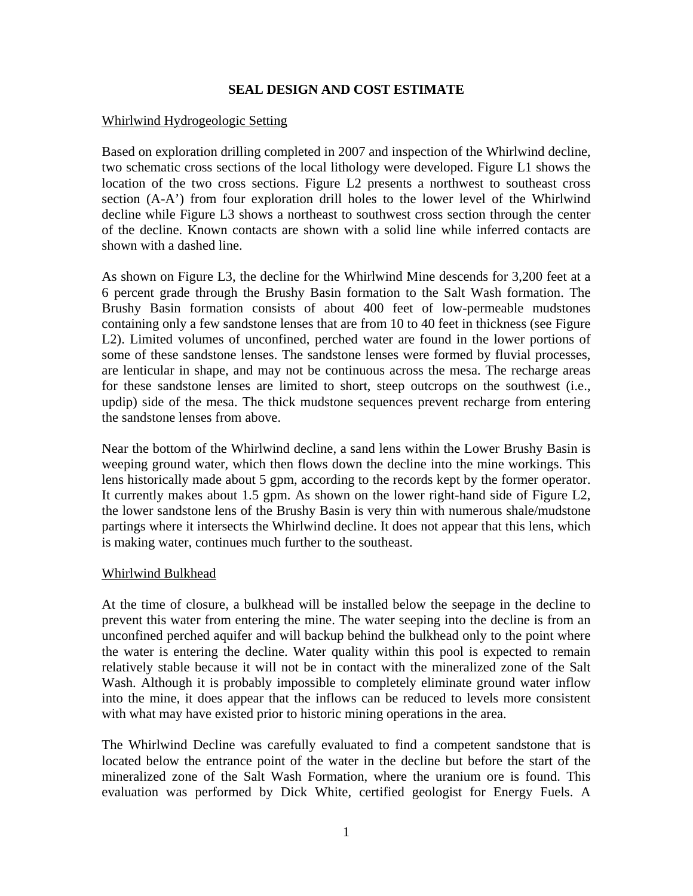## **SEAL DESIGN AND COST ESTIMATE**

## Whirlwind Hydrogeologic Setting

Based on exploration drilling completed in 2007 and inspection of the Whirlwind decline, two schematic cross sections of the local lithology were developed. Figure L1 shows the location of the two cross sections. Figure L2 presents a northwest to southeast cross section (A-A') from four exploration drill holes to the lower level of the Whirlwind decline while Figure L3 shows a northeast to southwest cross section through the center of the decline. Known contacts are shown with a solid line while inferred contacts are shown with a dashed line.

As shown on Figure L3, the decline for the Whirlwind Mine descends for 3,200 feet at a 6 percent grade through the Brushy Basin formation to the Salt Wash formation. The Brushy Basin formation consists of about 400 feet of low-permeable mudstones containing only a few sandstone lenses that are from 10 to 40 feet in thickness (see Figure L2). Limited volumes of unconfined, perched water are found in the lower portions of some of these sandstone lenses. The sandstone lenses were formed by fluvial processes, are lenticular in shape, and may not be continuous across the mesa. The recharge areas for these sandstone lenses are limited to short, steep outcrops on the southwest (i.e., updip) side of the mesa. The thick mudstone sequences prevent recharge from entering the sandstone lenses from above.

Near the bottom of the Whirlwind decline, a sand lens within the Lower Brushy Basin is weeping ground water, which then flows down the decline into the mine workings. This lens historically made about 5 gpm, according to the records kept by the former operator. It currently makes about 1.5 gpm. As shown on the lower right-hand side of Figure L2, the lower sandstone lens of the Brushy Basin is very thin with numerous shale/mudstone partings where it intersects the Whirlwind decline. It does not appear that this lens, which is making water, continues much further to the southeast.

## Whirlwind Bulkhead

At the time of closure, a bulkhead will be installed below the seepage in the decline to prevent this water from entering the mine. The water seeping into the decline is from an unconfined perched aquifer and will backup behind the bulkhead only to the point where the water is entering the decline. Water quality within this pool is expected to remain relatively stable because it will not be in contact with the mineralized zone of the Salt Wash. Although it is probably impossible to completely eliminate ground water inflow into the mine, it does appear that the inflows can be reduced to levels more consistent with what may have existed prior to historic mining operations in the area.

The Whirlwind Decline was carefully evaluated to find a competent sandstone that is located below the entrance point of the water in the decline but before the start of the mineralized zone of the Salt Wash Formation, where the uranium ore is found. This evaluation was performed by Dick White, certified geologist for Energy Fuels. A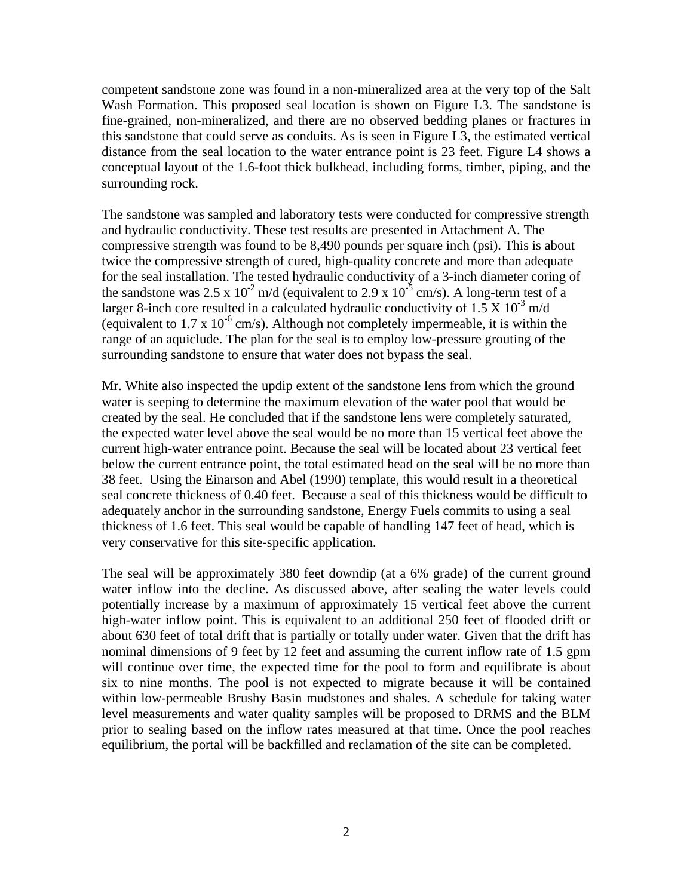competent sandstone zone was found in a non-mineralized area at the very top of the Salt Wash Formation. This proposed seal location is shown on Figure L3. The sandstone is fine-grained, non-mineralized, and there are no observed bedding planes or fractures in this sandstone that could serve as conduits. As is seen in Figure L3, the estimated vertical distance from the seal location to the water entrance point is 23 feet. Figure L4 shows a conceptual layout of the 1.6-foot thick bulkhead, including forms, timber, piping, and the surrounding rock.

The sandstone was sampled and laboratory tests were conducted for compressive strength and hydraulic conductivity. These test results are presented in Attachment A. The compressive strength was found to be 8,490 pounds per square inch (psi). This is about twice the compressive strength of cured, high-quality concrete and more than adequate for the seal installation. The tested hydraulic conductivity of a 3-inch diameter coring of the sandstone was 2.5 x  $10^{-2}$  m/d (equivalent to 2.9 x  $10^{-5}$  cm/s). A long-term test of a larger 8-inch core resulted in a calculated hydraulic conductivity of 1.5 X  $10^{-3}$  m/d (equivalent to 1.7 x  $10^{-6}$  cm/s). Although not completely impermeable, it is within the range of an aquiclude. The plan for the seal is to employ low-pressure grouting of the surrounding sandstone to ensure that water does not bypass the seal.

Mr. White also inspected the updip extent of the sandstone lens from which the ground water is seeping to determine the maximum elevation of the water pool that would be created by the seal. He concluded that if the sandstone lens were completely saturated, the expected water level above the seal would be no more than 15 vertical feet above the current high-water entrance point. Because the seal will be located about 23 vertical feet below the current entrance point, the total estimated head on the seal will be no more than 38 feet. Using the Einarson and Abel (1990) template, this would result in a theoretical seal concrete thickness of 0.40 feet. Because a seal of this thickness would be difficult to adequately anchor in the surrounding sandstone, Energy Fuels commits to using a seal thickness of 1.6 feet. This seal would be capable of handling 147 feet of head, which is very conservative for this site-specific application.

The seal will be approximately 380 feet downdip (at a 6% grade) of the current ground water inflow into the decline. As discussed above, after sealing the water levels could potentially increase by a maximum of approximately 15 vertical feet above the current high-water inflow point. This is equivalent to an additional 250 feet of flooded drift or about 630 feet of total drift that is partially or totally under water. Given that the drift has nominal dimensions of 9 feet by 12 feet and assuming the current inflow rate of 1.5 gpm will continue over time, the expected time for the pool to form and equilibrate is about six to nine months. The pool is not expected to migrate because it will be contained within low-permeable Brushy Basin mudstones and shales. A schedule for taking water level measurements and water quality samples will be proposed to DRMS and the BLM prior to sealing based on the inflow rates measured at that time. Once the pool reaches equilibrium, the portal will be backfilled and reclamation of the site can be completed.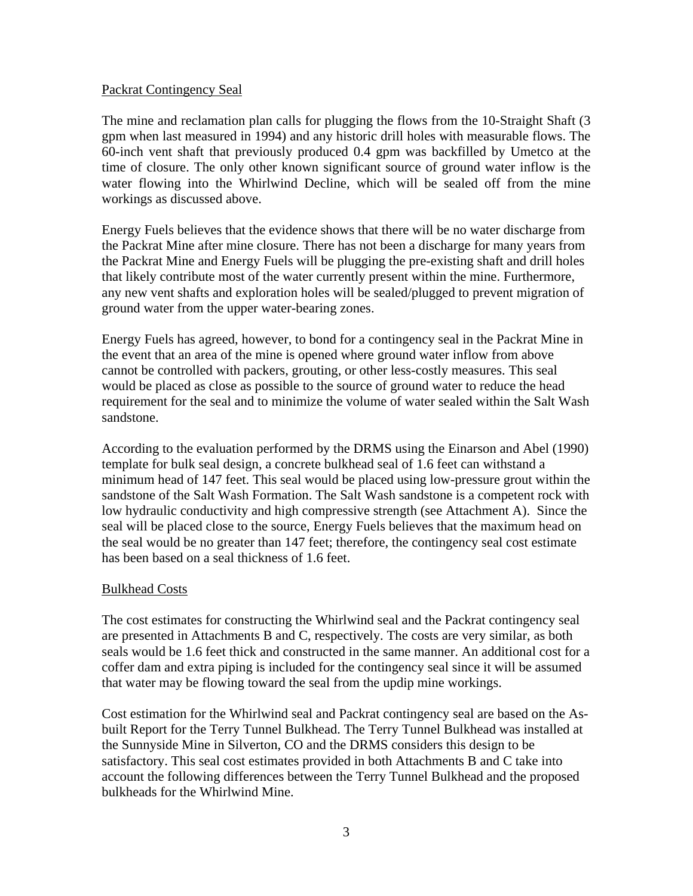## Packrat Contingency Seal

The mine and reclamation plan calls for plugging the flows from the 10-Straight Shaft (3 gpm when last measured in 1994) and any historic drill holes with measurable flows. The 60-inch vent shaft that previously produced 0.4 gpm was backfilled by Umetco at the time of closure. The only other known significant source of ground water inflow is the water flowing into the Whirlwind Decline, which will be sealed off from the mine workings as discussed above.

Energy Fuels believes that the evidence shows that there will be no water discharge from the Packrat Mine after mine closure. There has not been a discharge for many years from the Packrat Mine and Energy Fuels will be plugging the pre-existing shaft and drill holes that likely contribute most of the water currently present within the mine. Furthermore, any new vent shafts and exploration holes will be sealed/plugged to prevent migration of ground water from the upper water-bearing zones.

Energy Fuels has agreed, however, to bond for a contingency seal in the Packrat Mine in the event that an area of the mine is opened where ground water inflow from above cannot be controlled with packers, grouting, or other less-costly measures. This seal would be placed as close as possible to the source of ground water to reduce the head requirement for the seal and to minimize the volume of water sealed within the Salt Wash sandstone.

According to the evaluation performed by the DRMS using the Einarson and Abel (1990) template for bulk seal design, a concrete bulkhead seal of 1.6 feet can withstand a minimum head of 147 feet. This seal would be placed using low-pressure grout within the sandstone of the Salt Wash Formation. The Salt Wash sandstone is a competent rock with low hydraulic conductivity and high compressive strength (see Attachment A). Since the seal will be placed close to the source, Energy Fuels believes that the maximum head on the seal would be no greater than 147 feet; therefore, the contingency seal cost estimate has been based on a seal thickness of 1.6 feet.

## Bulkhead Costs

The cost estimates for constructing the Whirlwind seal and the Packrat contingency seal are presented in Attachments B and C, respectively. The costs are very similar, as both seals would be 1.6 feet thick and constructed in the same manner. An additional cost for a coffer dam and extra piping is included for the contingency seal since it will be assumed that water may be flowing toward the seal from the updip mine workings.

Cost estimation for the Whirlwind seal and Packrat contingency seal are based on the Asbuilt Report for the Terry Tunnel Bulkhead. The Terry Tunnel Bulkhead was installed at the Sunnyside Mine in Silverton, CO and the DRMS considers this design to be satisfactory. This seal cost estimates provided in both Attachments B and C take into account the following differences between the Terry Tunnel Bulkhead and the proposed bulkheads for the Whirlwind Mine.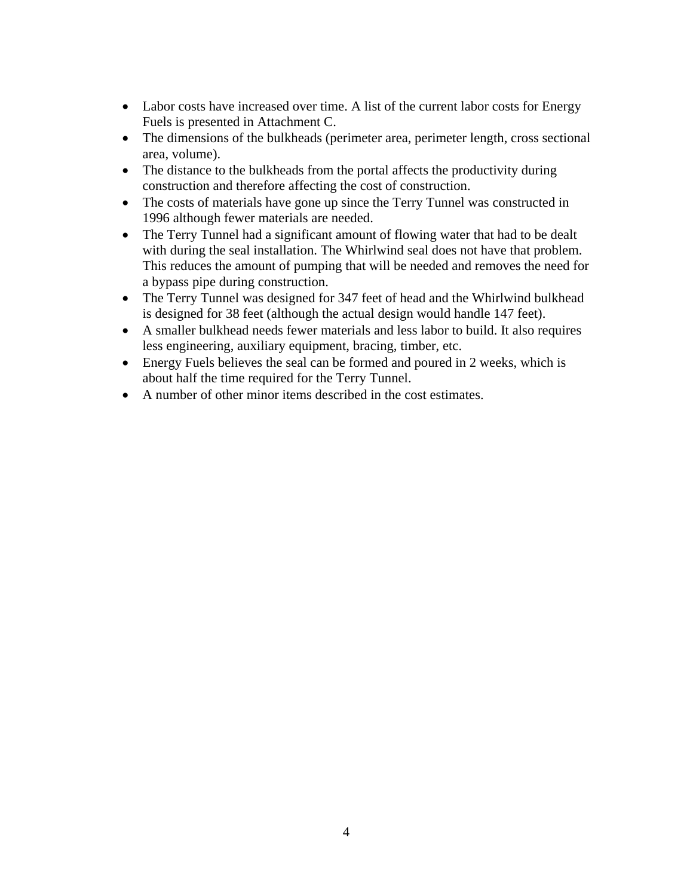- Labor costs have increased over time. A list of the current labor costs for Energy Fuels is presented in Attachment C.
- The dimensions of the bulkheads (perimeter area, perimeter length, cross sectional area, volume).
- The distance to the bulkheads from the portal affects the productivity during construction and therefore affecting the cost of construction.
- The costs of materials have gone up since the Terry Tunnel was constructed in 1996 although fewer materials are needed.
- The Terry Tunnel had a significant amount of flowing water that had to be dealt with during the seal installation. The Whirlwind seal does not have that problem. This reduces the amount of pumping that will be needed and removes the need for a bypass pipe during construction.
- The Terry Tunnel was designed for 347 feet of head and the Whirlwind bulkhead is designed for 38 feet (although the actual design would handle 147 feet).
- A smaller bulkhead needs fewer materials and less labor to build. It also requires less engineering, auxiliary equipment, bracing, timber, etc.
- Energy Fuels believes the seal can be formed and poured in 2 weeks, which is about half the time required for the Terry Tunnel.
- A number of other minor items described in the cost estimates.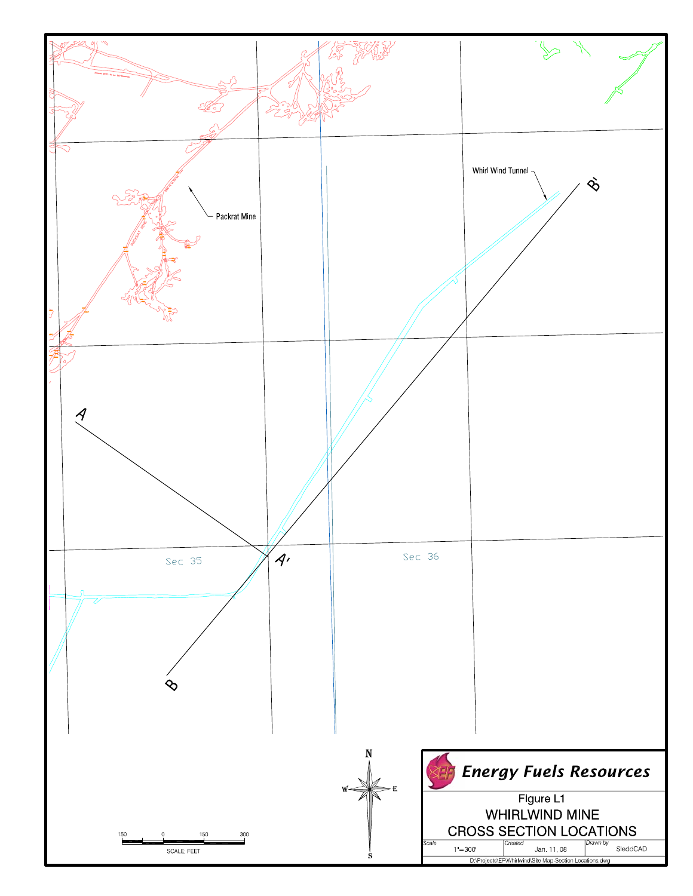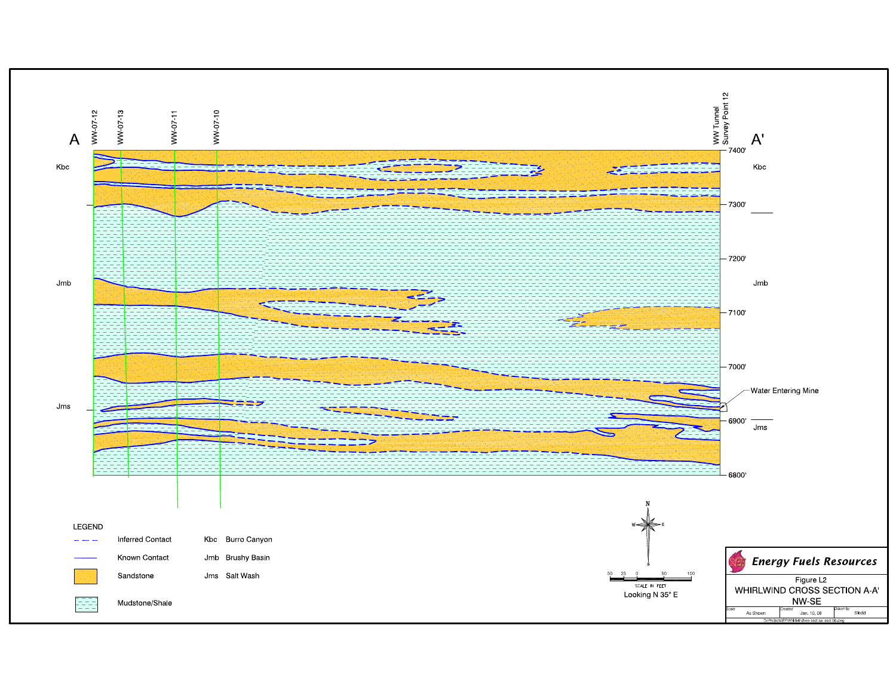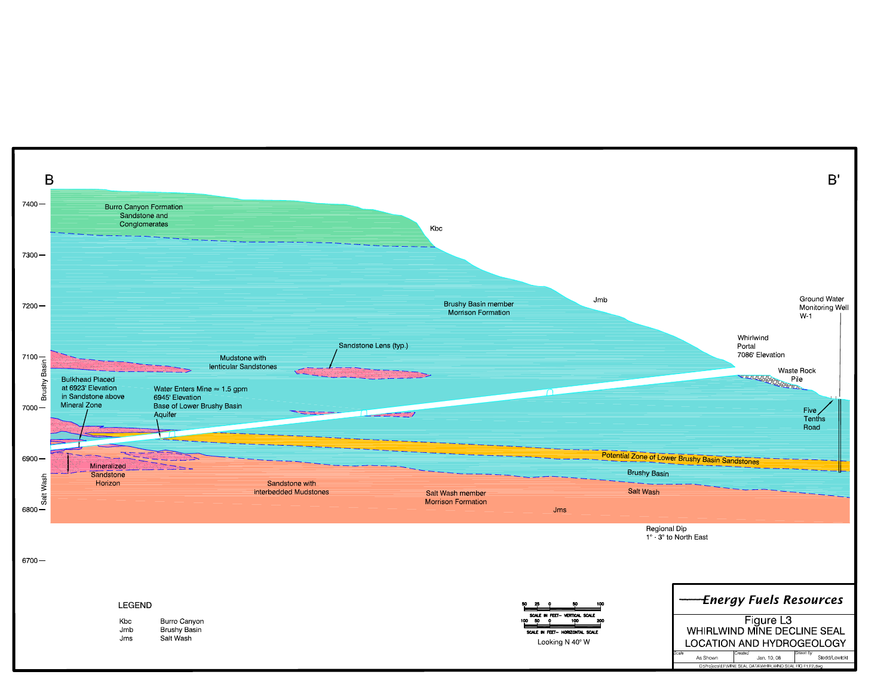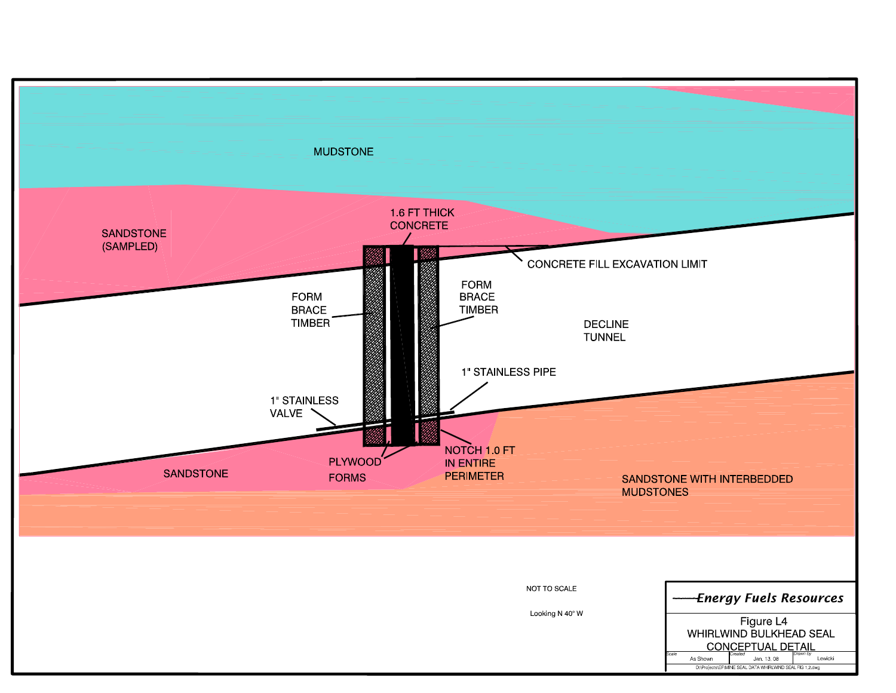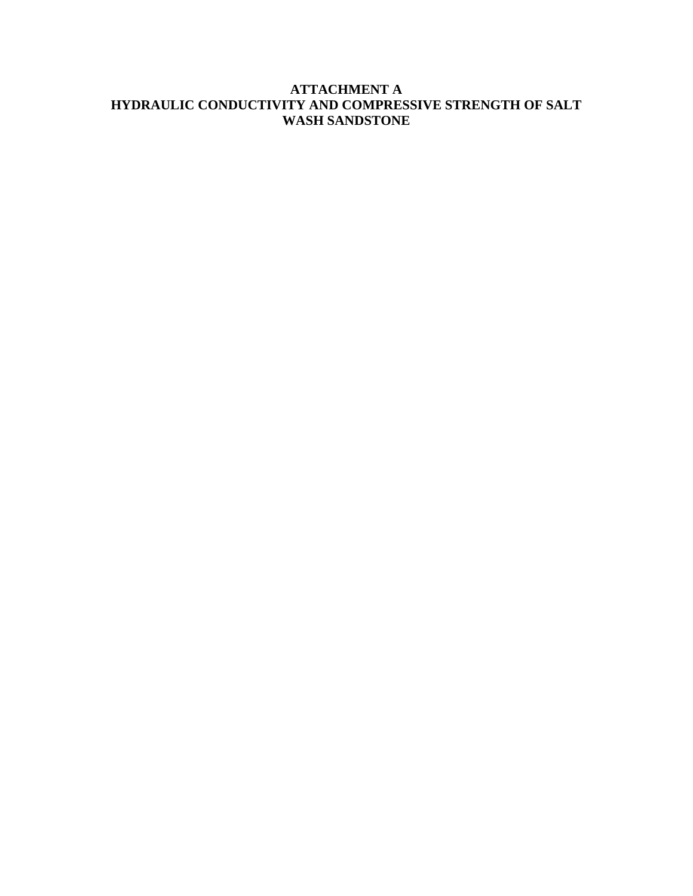## **ATTACHMENT A HYDRAULIC CONDUCTIVITY AND COMPRESSIVE STRENGTH OF SALT WASH SANDSTONE**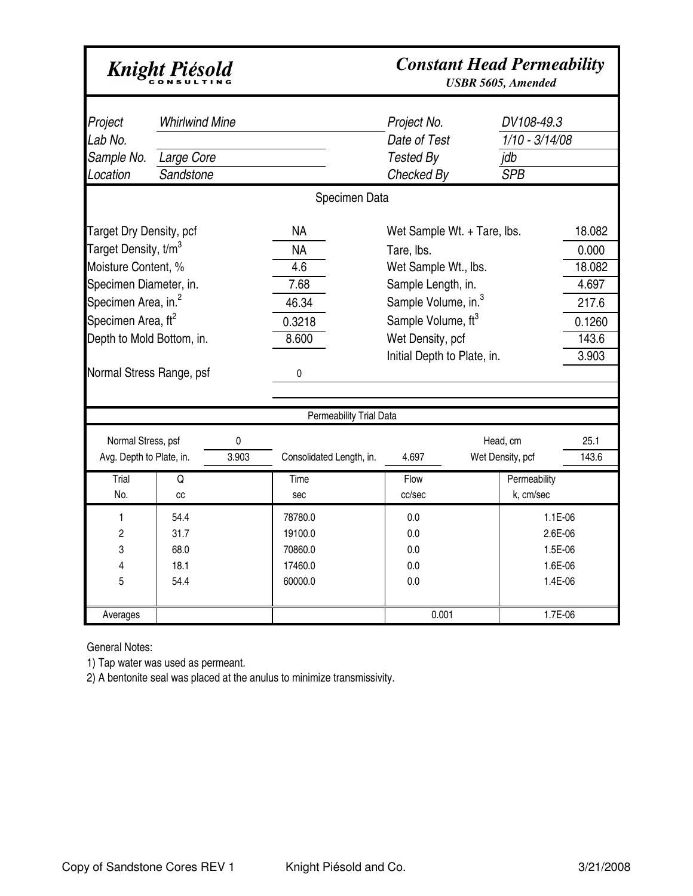# Knight Piésold

## *Constant Head Permeability*

*USBR 5605, Amended*

| Project<br>Lab No.<br>Sample No.<br>Location                                                                                                                                                                                       | <b>Whirlwind Mine</b><br>Large Core<br>Sandstone |                                                                                                                                                                                                                                                                                           |                                                            | Specimen Data            | Project No.<br>Date of Test<br>Tested By<br>Checked By                  |  | DV108-49.3<br>$1/10 - 3/14/08$<br>jdb<br><b>SPB</b> |                                                     |
|------------------------------------------------------------------------------------------------------------------------------------------------------------------------------------------------------------------------------------|--------------------------------------------------|-------------------------------------------------------------------------------------------------------------------------------------------------------------------------------------------------------------------------------------------------------------------------------------------|------------------------------------------------------------|--------------------------|-------------------------------------------------------------------------|--|-----------------------------------------------------|-----------------------------------------------------|
| Target Dry Density, pcf<br>Target Density, t/m $^3$<br>Moisture Content, %<br>Specimen Diameter, in.<br>Specimen Area, in. <sup>2</sup><br>Specimen Area, ft <sup>2</sup><br>Depth to Mold Bottom, in.<br>Normal Stress Range, psf |                                                  | <b>NA</b><br>Wet Sample Wt. + Tare, Ibs.<br><b>NA</b><br>Tare, lbs.<br>Wet Sample Wt., lbs.<br>4.6<br>7.68<br>Sample Length, in.<br>Sample Volume, in. <sup>3</sup><br>46.34<br>Sample Volume, ft <sup>3</sup><br>0.3218<br>8.600<br>Wet Density, pcf<br>Initial Depth to Plate, in.<br>0 |                                                            |                          | 18.082<br>0.000<br>18.082<br>4.697<br>217.6<br>0.1260<br>143.6<br>3.903 |  |                                                     |                                                     |
|                                                                                                                                                                                                                                    |                                                  |                                                                                                                                                                                                                                                                                           |                                                            | Permeability Trial Data  |                                                                         |  |                                                     |                                                     |
| Normal Stress, psf<br>Avg. Depth to Plate, in.<br>Trial                                                                                                                                                                            | Q                                                | 0<br>3.903                                                                                                                                                                                                                                                                                | Time                                                       | Consolidated Length, in. | 4.697<br>Flow                                                           |  | Head, cm<br>Wet Density, pcf<br>Permeability        | 25.1<br>143.6                                       |
| No.<br>1<br>2<br>3<br>4<br>5                                                                                                                                                                                                       | cc<br>54.4<br>31.7<br>68.0<br>18.1<br>54.4       |                                                                                                                                                                                                                                                                                           | sec<br>78780.0<br>19100.0<br>70860.0<br>17460.0<br>60000.0 |                          | cc/sec<br>0.0<br>0.0<br>0.0<br>0.0<br>0.0                               |  | k, cm/sec                                           | 1.1E-06<br>2.6E-06<br>1.5E-06<br>1.6E-06<br>1.4E-06 |
| Averages                                                                                                                                                                                                                           |                                                  |                                                                                                                                                                                                                                                                                           |                                                            |                          | 0.001                                                                   |  |                                                     | 1.7E-06                                             |

General Notes:

1) Tap water was used as permeant.

2) A bentonite seal was placed at the anulus to minimize transmissivity.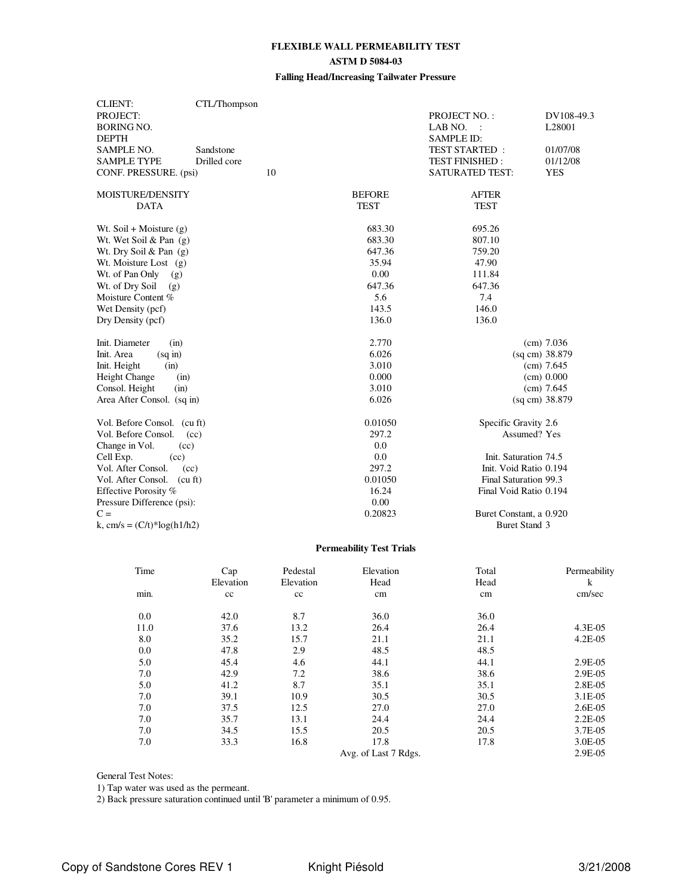## **FLEXIBLE WALL PERMEABILITY TEST ASTM D 5084-03**

## **Falling Head/Increasing Tailwater Pressure**

| <b>CLIENT:</b>                | CTL/Thompson |    |               |                         |              |
|-------------------------------|--------------|----|---------------|-------------------------|--------------|
| PROJECT:                      |              |    |               | PROJECT NO.:            | DV108-49.3   |
| <b>BORING NO.</b>             |              |    |               | LAB NO.                 | L28001       |
| <b>DEPTH</b>                  |              |    |               | <b>SAMPLE ID:</b>       |              |
| <b>SAMPLE NO.</b>             | Sandstone    |    |               | <b>TEST STARTED:</b>    | 01/07/08     |
| <b>SAMPLE TYPE</b>            | Drilled core |    |               | <b>TEST FINISHED:</b>   | 01/12/08     |
| CONF. PRESSURE. (psi)         |              | 10 |               | <b>SATURATED TEST:</b>  | <b>YES</b>   |
| MOISTURE/DENSITY              |              |    | <b>BEFORE</b> | <b>AFTER</b>            |              |
| <b>DATA</b>                   |              |    | <b>TEST</b>   | <b>TEST</b>             |              |
| Wt. Soil + Moisture $(g)$     |              |    | 683.30        | 695.26                  |              |
| Wt. Wet Soil & Pan $(g)$      |              |    | 683.30        | 807.10                  |              |
| Wt. Dry Soil & Pan $(g)$      |              |    | 647.36        | 759.20                  |              |
| Wt. Moisture Lost $(g)$       |              |    | 35.94         | 47.90                   |              |
| Wt. of Pan Only<br>(g)        |              |    | 0.00          | 111.84                  |              |
| Wt. of Dry Soil<br>(g)        |              |    | 647.36        | 647.36                  |              |
| Moisture Content %            |              |    | 5.6           | 7.4                     |              |
| Wet Density (pcf)             |              |    | 143.5         | 146.0                   |              |
| Dry Density (pcf)             |              |    | 136.0         | 136.0                   |              |
| Init. Diameter<br>(in)        |              |    | 2.770         |                         | (cm) 7.036   |
| Init. Area<br>(sq in)         |              |    | 6.026         | (sq cm) 38.879          |              |
| Init. Height<br>(in)          |              |    | 3.010         |                         | $(cm)$ 7.645 |
| Height Change<br>(in)         |              |    | 0.000         |                         | (cm) 0.000   |
| Consol. Height<br>(in)        |              |    | 3.010         |                         | $(cm)$ 7.645 |
| Area After Consol. (sq in)    |              |    | 6.026         | (sq cm) 38.879          |              |
| Vol. Before Consol. (cu ft)   |              |    | 0.01050       | Specific Gravity 2.6    |              |
| Vol. Before Consol.           | (cc)         |    | 297.2         | Assumed? Yes            |              |
| Change in Vol.<br>(cc)        |              |    | 0.0           |                         |              |
| Cell Exp.<br>(cc)             |              |    | 0.0           | Init. Saturation 74.5   |              |
| Vol. After Consol.            | (cc)         |    | 297.2         | Init. Void Ratio 0.194  |              |
| Vol. After Consol.            | (cu ft)      |    | 0.01050       | Final Saturation 99.3   |              |
| Effective Porosity %          |              |    | 16.24         | Final Void Ratio 0.194  |              |
| Pressure Difference (psi):    |              |    | 0.00          |                         |              |
| $C =$                         |              |    | 0.20823       | Buret Constant, a 0.920 |              |
| k, cm/s = $(C/t)^*log(h1/h2)$ |              |    |               | <b>Buret Stand 3</b>    |              |

## **Permeability Test Trials**

| Time | Cap<br>Elevation | Pedestal<br>Elevation | Elevation<br>Head    | Total<br>Head | Permeability<br>k |
|------|------------------|-----------------------|----------------------|---------------|-------------------|
| min. | cc               | cc                    | cm                   | cm            | cm/sec            |
| 0.0  | 42.0             | 8.7                   | 36.0                 | 36.0          |                   |
| 11.0 | 37.6             | 13.2                  | 26.4                 | 26.4          | 4.3E-05           |
| 8.0  | 35.2             | 15.7                  | 21.1                 | 21.1          | $4.2E-05$         |
| 0.0  | 47.8             | 2.9                   | 48.5                 | 48.5          |                   |
| 5.0  | 45.4             | 4.6                   | 44.1                 | 44.1          | 2.9E-05           |
| 7.0  | 42.9             | 7.2                   | 38.6                 | 38.6          | 2.9E-05           |
| 5.0  | 41.2             | 8.7                   | 35.1                 | 35.1          | 2.8E-05           |
| 7.0  | 39.1             | 10.9                  | 30.5                 | 30.5          | 3.1E-05           |
| 7.0  | 37.5             | 12.5                  | 27.0                 | 27.0          | $2.6E - 0.5$      |
| 7.0  | 35.7             | 13.1                  | 24.4                 | 24.4          | $2.2E-0.5$        |
| 7.0  | 34.5             | 15.5                  | 20.5                 | 20.5          | 3.7E-05           |
| 7.0  | 33.3             | 16.8                  | 17.8                 | 17.8          | 3.0E-05           |
|      |                  |                       | Avg. of Last 7 Rdgs. |               | 2.9E-05           |

General Test Notes:

1) Tap water was used as the permeant.

2) Back pressure saturation continued until 'B' parameter a minimum of 0.95.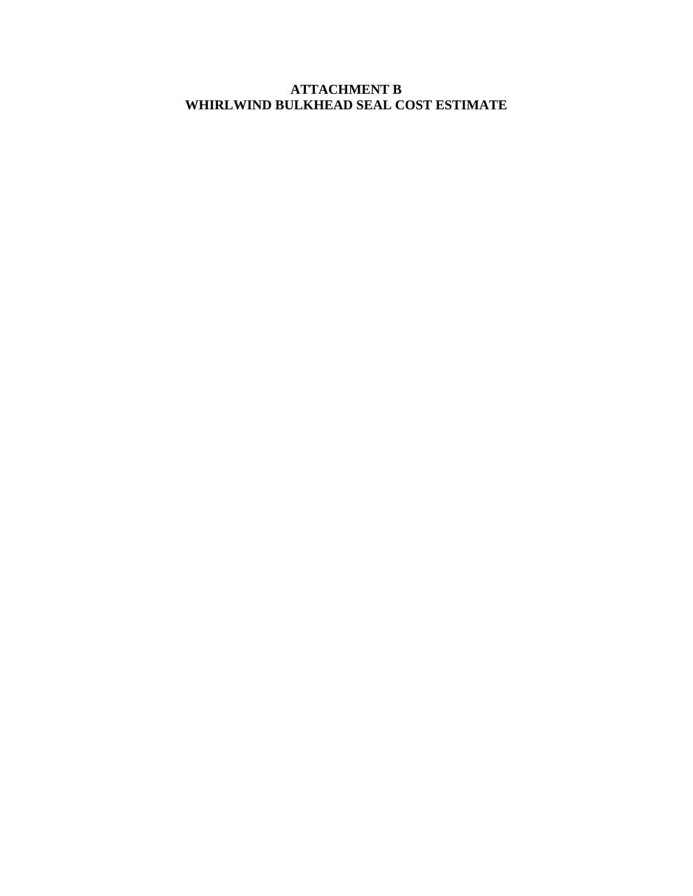## **ATTACHMENT B WHIRLWIND BULKHEAD SEAL COST ESTIMATE**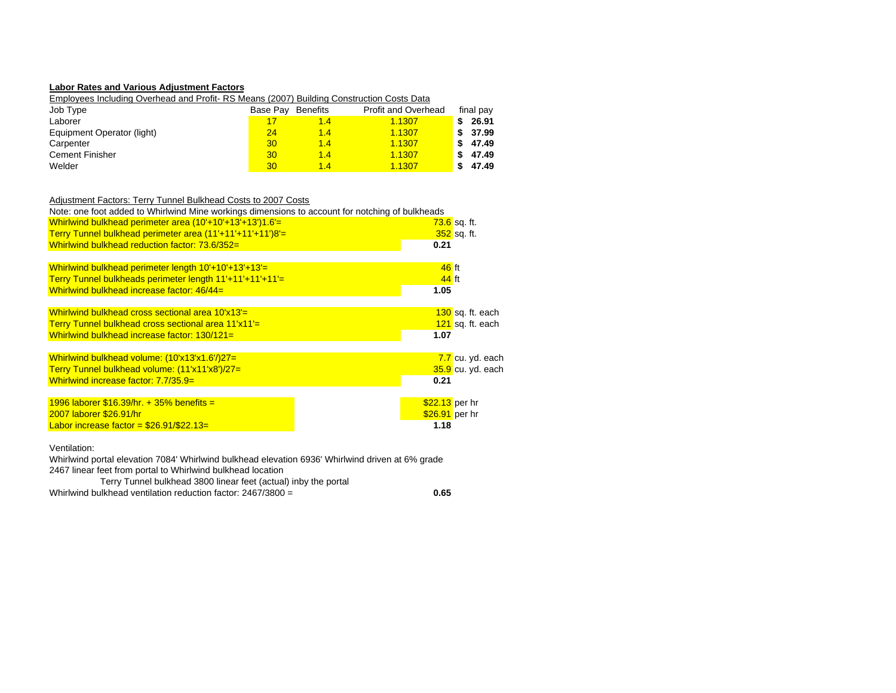#### **Labor Rates and Various Adjustment Factors**

Employees Including Overhead and Profit- RS Means (2007) Building Construction Costs Data

| Job Type                   | Base Pav        | <b>Benefits</b> | <b>Profit and Overhead</b> |   | final pay |
|----------------------------|-----------------|-----------------|----------------------------|---|-----------|
| Laborer                    |                 | 1.4             | 1.1307                     |   | 26.91     |
| Equipment Operator (light) | 24              | 1.4             | 1.1307                     | S | 37.99     |
| Carpenter                  | 30              | 1.4             | 1.1307                     | S | 47.49     |
| <b>Cement Finisher</b>     | 30              | 1.4             | 1.1307                     | S | 47.49     |
| Welder                     | 30 <sup>1</sup> | 1.4             | 1.1307                     |   | 47.49     |

#### Adjustment Factors: Terry Tunnel Bulkhead Costs to 2007 Costs

| Note: one foot added to Whirlwind Mine workings dimensions to account for notching of bulkheads |                           |
|-------------------------------------------------------------------------------------------------|---------------------------|
| Whirlwind bulkhead perimeter area (10'+10'+13'+13')1.6'=                                        | <mark>73.6</mark> sq. ft. |
| Terry Tunnel bulkhead perimeter area (11'+11'+11'+11')8'=                                       | 352 sq. ft.               |
| Whirlwind bulkhead reduction factor: 73.6/352=                                                  | 0.21                      |
|                                                                                                 |                           |
| Whirlwind bulkhead perimeter length $10'+10'+13'+13'=$                                          | $46$ ft                   |
| Terry Tunnel bulkheads perimeter length 11'+11'+11'+11'=                                        | 44 ft                     |
| Whirlwind bulkhead increase factor: 46/44=                                                      | 1.05                      |
|                                                                                                 |                           |
| Whirlwind bulkhead cross sectional area 10'x13'=                                                | 130 sq. ft. each          |
| Terry Tunnel bulkhead cross sectional area 11'x11'=                                             | 121 sq. ft. each          |
| Whirlwind bulkhead increase factor: 130/121=                                                    | 1.07                      |
|                                                                                                 |                           |
| Whirlwind bulkhead volume: (10'x13'x1.6'/)27=                                                   | 7.7 cu. yd. each          |
| Terry Tunnel bulkhead volume: (11'x11'x8')/27=                                                  | 35.9 cu. yd. each         |
| Whirlwind increase factor: $7.7/35.9=$                                                          | 0.21                      |
|                                                                                                 |                           |
| 1996 laborer $$16.39/hr. + 35%$ benefits =                                                      | $$22.13$ per hr           |
| 2007 laborer \$26.91/hr                                                                         | $$26.91$ per hr           |
| Labor increase factor = $$26.91/\$22.13=$                                                       | 1.18                      |
|                                                                                                 |                           |

#### Ventilation:

Whirlwind portal elevation 7084' Whirlwind bulkhead elevation 6936' Whirlwind driven at 6% grade 2467 linear feet from portal to Whirlwind bulkhead location

0.65

Whirlwind bulkhead ventilation reduction factor: 2467/3800 = **0.65**Terry Tunnel bulkhead 3800 linear feet (actual) inby the portal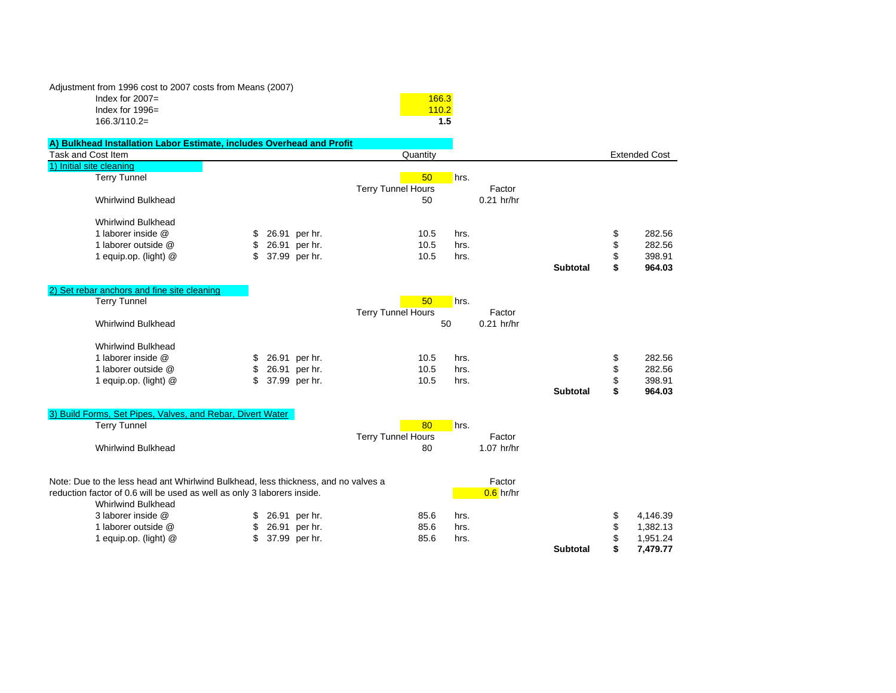Adjustment from 1996 cost to 2007 costs from Means (2007) Index for 2007= $\frac{166.3}{\sqrt{166.3}}$ Index for  $1996=$ 166.3/110.2=

| $v =$ | <u>100.0</u> |
|-------|--------------|
| $96=$ | 110.2        |
| $=$   | 1.5          |
|       |              |

| A) Bulkhead Installation Labor Estimate, includes Overhead and Profit              |    |               |                                 |      |              |                 |                      |
|------------------------------------------------------------------------------------|----|---------------|---------------------------------|------|--------------|-----------------|----------------------|
| Task and Cost Item                                                                 |    |               | Quantity                        |      |              |                 | <b>Extended Cost</b> |
| 1) Initial site cleaning                                                           |    |               |                                 |      |              |                 |                      |
| <b>Terry Tunnel</b>                                                                |    |               | 50                              | hrs. |              |                 |                      |
|                                                                                    |    |               | <b>Terry Tunnel Hours</b>       |      | Factor       |                 |                      |
| <b>Whirlwind Bulkhead</b>                                                          |    |               | 50                              |      | $0.21$ hr/hr |                 |                      |
|                                                                                    |    |               |                                 |      |              |                 |                      |
| <b>Whirlwind Bulkhead</b>                                                          |    |               |                                 |      |              |                 |                      |
| 1 laborer inside @                                                                 |    | 26.91 per hr. | 10.5                            | hrs. |              |                 | \$<br>282.56         |
| 1 laborer outside @                                                                | \$ | 26.91 per hr. | 10.5                            | hrs. |              |                 | \$<br>282.56         |
| 1 equip.op. (light) @                                                              | S  | 37.99 per hr. | 10.5                            | hrs. |              |                 | \$<br>398.91         |
|                                                                                    |    |               |                                 |      |              | <b>Subtotal</b> | \$<br>964.03         |
|                                                                                    |    |               |                                 |      |              |                 |                      |
| 2) Set rebar anchors and fine site cleaning                                        |    |               |                                 |      |              |                 |                      |
| <b>Terry Tunnel</b>                                                                |    |               | 50                              | hrs. |              |                 |                      |
|                                                                                    |    |               | <b>Terry Tunnel Hours</b>       |      | Factor       |                 |                      |
| <b>Whirlwind Bulkhead</b>                                                          |    |               |                                 | 50   | $0.21$ hr/hr |                 |                      |
|                                                                                    |    |               |                                 |      |              |                 |                      |
| <b>Whirlwind Bulkhead</b>                                                          |    |               |                                 |      |              |                 |                      |
| 1 laborer inside @                                                                 | \$ | 26.91 per hr. | 10.5                            | hrs. |              |                 | \$<br>282.56         |
| 1 laborer outside @                                                                | \$ | 26.91 per hr. | 10.5                            | hrs. |              |                 | \$<br>282.56         |
| 1 equip.op. (light) @                                                              | \$ | 37.99 per hr. | 10.5                            | hrs. |              |                 | \$<br>398.91         |
|                                                                                    |    |               |                                 |      |              | <b>Subtotal</b> | \$<br>964.03         |
|                                                                                    |    |               |                                 |      |              |                 |                      |
| 3) Build Forms, Set Pipes, Valves, and Rebar, Divert Water<br><b>Terry Tunnel</b>  |    |               | 80                              |      |              |                 |                      |
|                                                                                    |    |               |                                 | hrs. | Factor       |                 |                      |
| <b>Whirlwind Bulkhead</b>                                                          |    |               | <b>Terry Tunnel Hours</b><br>80 |      | 1.07 hr/hr   |                 |                      |
|                                                                                    |    |               |                                 |      |              |                 |                      |
|                                                                                    |    |               |                                 |      |              |                 |                      |
| Note: Due to the less head ant Whirlwind Bulkhead, less thickness, and no valves a |    |               |                                 |      | Factor       |                 |                      |
| reduction factor of 0.6 will be used as well as only 3 laborers inside.            |    |               |                                 |      | $0.6$ hr/hr  |                 |                      |
| <b>Whirlwind Bulkhead</b>                                                          |    |               |                                 |      |              |                 |                      |
| 3 laborer inside @                                                                 | \$ | 26.91 per hr. | 85.6                            | hrs. |              |                 | \$<br>4,146.39       |
| 1 laborer outside @                                                                | \$ | 26.91 per hr. | 85.6                            | hrs. |              |                 | \$<br>1,382.13       |
| 1 equip.op. (light) @                                                              |    | 37.99 per hr. | 85.6                            | hrs. |              |                 | \$<br>1,951.24       |
|                                                                                    |    |               |                                 |      |              | <b>Subtotal</b> | \$<br>7,479.77       |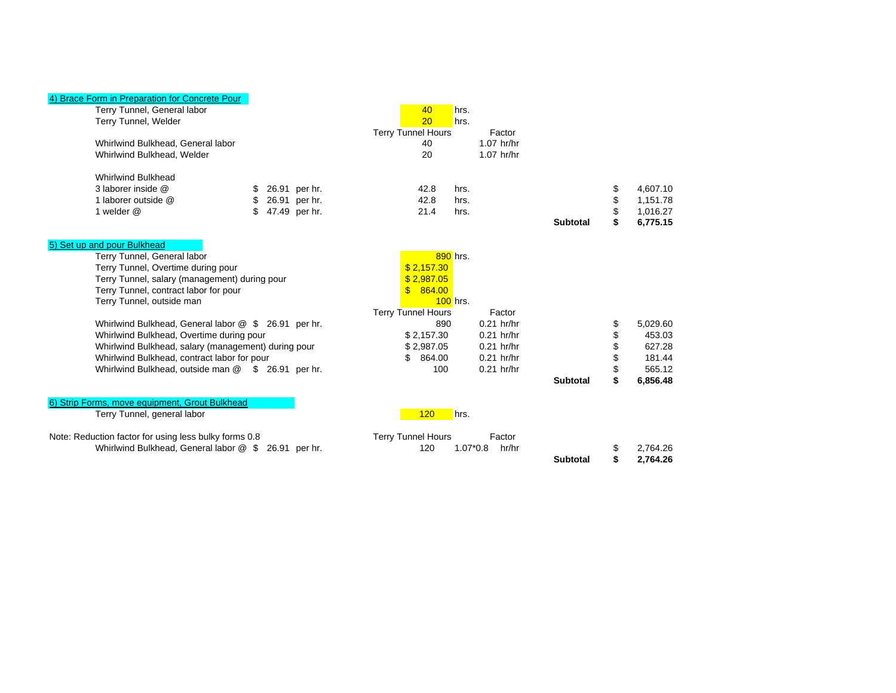## 4) Brace Form in Preparation for Concrete Pour

| Terry Tunnel, General labor<br>Terry Tunnel, Welder   |     |               |    | 40<br>20                  | hrs.<br>hrs. |              |                 |    |          |  |
|-------------------------------------------------------|-----|---------------|----|---------------------------|--------------|--------------|-----------------|----|----------|--|
|                                                       |     |               |    | Terry Tunnel Hours        |              | Factor       |                 |    |          |  |
| Whirlwind Bulkhead, General labor                     |     |               |    | 40                        |              | $1.07$ hr/hr |                 |    |          |  |
| Whirlwind Bulkhead, Welder                            |     |               |    | 20                        |              | $1.07$ hr/hr |                 |    |          |  |
| <b>Whirlwind Bulkhead</b>                             |     |               |    |                           |              |              |                 |    |          |  |
| 3 laborer inside @                                    | S   | 26.91 per hr. |    | 42.8                      | hrs.         |              |                 | \$ | 4,607.10 |  |
| 1 laborer outside @                                   | \$  | 26.91 per hr. |    | 42.8                      | hrs.         |              |                 | \$ | 1,151.78 |  |
| 1 welder @                                            | \$. | 47.49 per hr. |    | 21.4                      | hrs.         |              |                 | \$ | 1,016.27 |  |
|                                                       |     |               |    |                           |              |              | <b>Subtotal</b> | \$ | 6,775.15 |  |
| 5) Set up and pour Bulkhead                           |     |               |    |                           |              |              |                 |    |          |  |
| Terry Tunnel, General labor                           |     |               |    |                           | 890 hrs.     |              |                 |    |          |  |
| Terry Tunnel, Overtime during pour                    |     |               |    | \$2,157.30                |              |              |                 |    |          |  |
| Terry Tunnel, salary (management) during pour         |     |               |    | \$2,987.05                |              |              |                 |    |          |  |
| Terry Tunnel, contract labor for pour                 |     |               |    | \$864.00                  |              |              |                 |    |          |  |
| Terry Tunnel, outside man                             |     |               |    |                           | $100$ hrs.   |              |                 |    |          |  |
|                                                       |     |               |    | <b>Terry Tunnel Hours</b> |              | Factor       |                 |    |          |  |
| Whirlwind Bulkhead, General labor @ \$ 26.91 per hr.  |     |               |    | 890                       |              | $0.21$ hr/hr |                 | \$ | 5,029.60 |  |
| Whirlwind Bulkhead, Overtime during pour              |     |               |    | \$2.157.30                |              | $0.21$ hr/hr |                 | \$ | 453.03   |  |
| Whirlwind Bulkhead, salary (management) during pour   |     |               |    | \$2,987.05                |              | $0.21$ hr/hr |                 | \$ | 627.28   |  |
| Whirlwind Bulkhead, contract labor for pour           |     |               | £. | 864.00                    |              | $0.21$ hr/hr |                 | \$ | 181.44   |  |
| Whirlwind Bulkhead, outside man @ \$ 26.91 per hr.    |     |               |    | 100                       |              | $0.21$ hr/hr |                 | \$ | 565.12   |  |
|                                                       |     |               |    |                           |              |              | <b>Subtotal</b> | \$ | 6,856.48 |  |
| 6) Strip Forms, move equipment, Grout Bulkhead        |     |               |    |                           |              |              |                 |    |          |  |
| Terry Tunnel, general labor                           |     |               |    | 120                       | hrs.         |              |                 |    |          |  |
| Note: Reduction factor for using less bulky forms 0.8 |     |               |    | <b>Terry Tunnel Hours</b> |              | Factor       |                 |    |          |  |
| Whirlwind Bulkhead, General labor @ \$                |     | 26.91 per hr. |    | 120                       | $1.07*0.8$   | hr/hr        |                 | \$ | 2,764.26 |  |
|                                                       |     |               |    |                           |              |              | <b>Subtotal</b> | S  | 2,764.26 |  |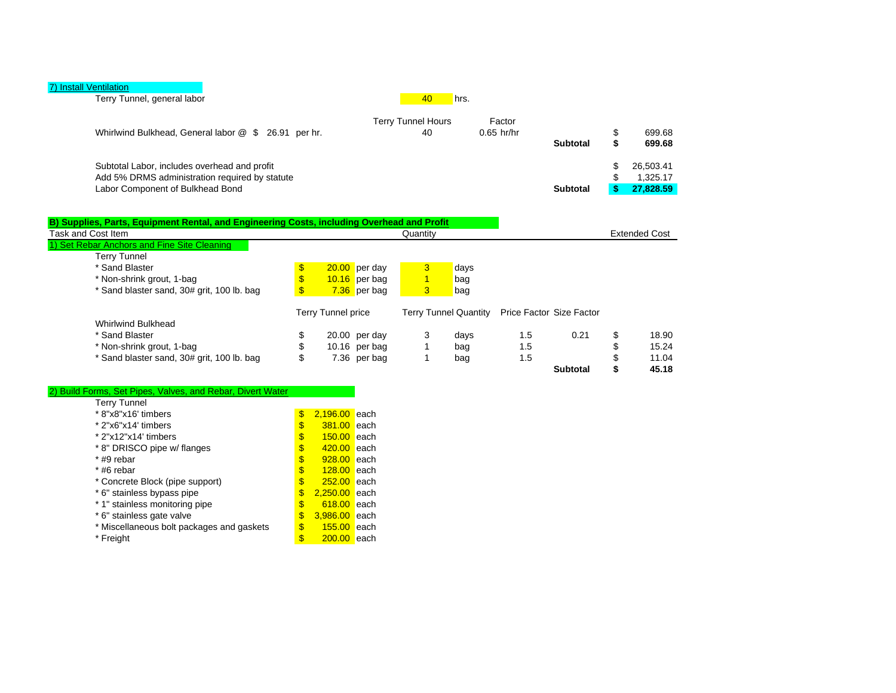|--|

| Terry Tunnel, general labor                                                                                                        | 40                       | hrs.                   |          |  |                                    |  |
|------------------------------------------------------------------------------------------------------------------------------------|--------------------------|------------------------|----------|--|------------------------------------|--|
| Whirlwind Bulkhead, General labor @ \$ 26.91 per hr.                                                                               | Terry Tunnel Hours<br>40 | Factor<br>$0.65$ hr/hr | Subtotal |  | 699.68<br>699.68                   |  |
| Subtotal Labor, includes overhead and profit<br>Add 5% DRMS administration required by statute<br>Labor Component of Bulkhead Bond |                          |                        | Subtotal |  | 26.503.41<br>1.325.17<br>27,828.59 |  |

| B) Supplies, Parts, Equipment Rental, and Engineering Costs, including Overhead and Profit |              |                    |                 |          |      |     |                                                |                      |
|--------------------------------------------------------------------------------------------|--------------|--------------------|-----------------|----------|------|-----|------------------------------------------------|----------------------|
| Task and Cost Item                                                                         |              |                    |                 | Quantity |      |     |                                                | <b>Extended Cost</b> |
| 1) Set Rebar Anchors and Fine Site Cleaning                                                |              |                    |                 |          |      |     |                                                |                      |
| <b>Terry Tunnel</b>                                                                        |              |                    |                 |          |      |     |                                                |                      |
| * Sand Blaster                                                                             | $\mathbb{S}$ |                    | $20.00$ per day |          | days |     |                                                |                      |
| * Non-shrink grout, 1-bag                                                                  | \$           |                    | $10.16$ per bag |          | bag  |     |                                                |                      |
| * Sand blaster sand, 30# grit, 100 lb. bag                                                 |              |                    | $7.36$ per bag  | 3        | bag  |     |                                                |                      |
|                                                                                            |              | Terry Tunnel price |                 |          |      |     | Terry Tunnel Quantity Price Factor Size Factor |                      |
| Whirlwind Bulkhead                                                                         |              |                    |                 |          |      |     |                                                |                      |
| * Sand Blaster                                                                             | \$           |                    | 20.00 per day   | 3        | days | 1.5 | 0.21                                           | \$<br>18.90          |
| * Non-shrink grout, 1-bag                                                                  |              |                    | 10.16 per bag   |          | bag  | 1.5 |                                                | 15.24                |
| * Sand blaster sand, 30# grit, 100 lb. bag                                                 | \$           |                    | 7.36 per bag    |          | bag  | 1.5 |                                                | 11.04                |
|                                                                                            |              |                    |                 |          |      |     | Subtotal                                       | 45.18                |

#### 2) Build Forms, Set Pipes, Valves, and Rebar, Divert Water

| Terry Tunnel                              |    |                 |      |
|-------------------------------------------|----|-----------------|------|
| * 8"x8"x16' timbers                       | \$ | $2,196.00$ each |      |
| * 2"x6"x14' timbers                       | \$ | 381.00          | each |
| * 2"x12"x14' timbers                      | \$ | 150.00          | each |
| * 8" DRISCO pipe w/ flanges               | \$ | 420.00          | each |
| * #9 rebar                                | \$ | 928.00          | each |
| * #6 rebar                                | \$ | $128.00$ each   |      |
| * Concrete Block (pipe support)           | \$ | $252.00$ each   |      |
| * 6" stainless bypass pipe                | \$ | $2,250.00$ each |      |
| * 1" stainless monitoring pipe            | \$ | 618.00          | each |
| * 6" stainless gate valve                 | \$ | 3,986.00        | each |
| * Miscellaneous bolt packages and gaskets | \$ | 155.00          | each |
| * Freight                                 | S  | 200.00          | each |
|                                           |    |                 |      |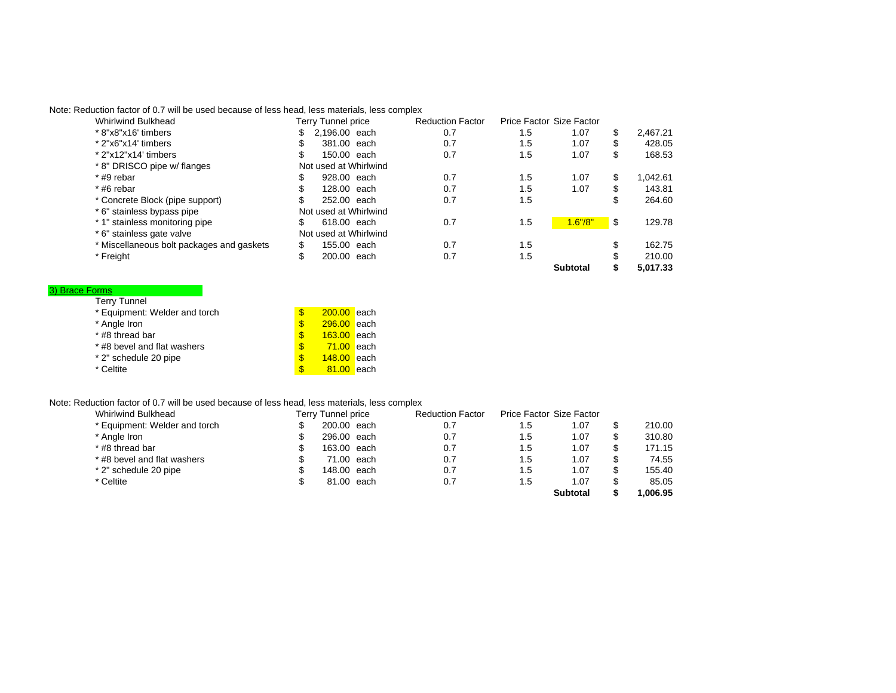Note: Reduction factor of 0.7 will be used because of less head, less materials, less complex

| Whirlwind Bulkhead                        |    | Terry Tunnel price    | <b>Reduction Factor</b> |     | Price Factor Size Factor |    |          |
|-------------------------------------------|----|-----------------------|-------------------------|-----|--------------------------|----|----------|
| * 8"x8"x16' timbers                       | \$ | 2.196.00 each         | 0.7                     | 1.5 | 1.07                     | S  | 2.467.21 |
| * 2"x6"x14' timbers                       | S  | 381.00 each           | 0.7                     | 1.5 | 1.07                     | S  | 428.05   |
| $*$ 2"x12"x14' timbers                    | \$ | 150.00 each           | 0.7                     | 1.5 | 1.07                     | S  | 168.53   |
| * 8" DRISCO pipe w/ flanges               |    | Not used at Whirlwind |                         |     |                          |    |          |
| $*$ #9 rebar                              | \$ | 928.00 each           | 0.7                     | 1.5 | 1.07                     | S  | 1.042.61 |
| $*$ #6 rebar                              | S  | 128,00 each           | 0.7                     | 1.5 | 1.07                     | S  | 143.81   |
| * Concrete Block (pipe support)           | S  | 252.00 each           | 0.7                     | 1.5 |                          | \$ | 264.60   |
| * 6" stainless bypass pipe                |    | Not used at Whirlwind |                         |     |                          |    |          |
| * 1" stainless monitoring pipe            | \$ | 618.00 each           | 0.7                     | 1.5 | 1.6''/8''                | \$ | 129.78   |
| * 6" stainless gate valve                 |    | Not used at Whirlwind |                         |     |                          |    |          |
| * Miscellaneous bolt packages and gaskets | \$ | 155.00 each           | 0.7                     | 1.5 |                          | S  | 162.75   |
| * Freight                                 | \$ | 200.00 each           | 0.7                     | 1.5 |                          |    | 210.00   |
|                                           |    |                       |                         |     | Subtotal                 |    | 5.017.33 |

#### 3) Brace Forms

| <b>Terry Tunnel</b>           |          |                   |  |
|-------------------------------|----------|-------------------|--|
| * Equipment: Welder and torch | <b>S</b> | 200.00 each       |  |
| * Angle Iron                  | <b>S</b> | $296.00$ each     |  |
| * #8 thread bar               | \$.      | $163.00$ each     |  |
| * #8 bevel and flat washers   | <b>S</b> | <b>71.00</b> each |  |
| * 2" schedule 20 pipe         | <b>S</b> | $148.00$ each     |  |
| * Celtite                     | \$       | $81.00$ each      |  |

## Note: Reduction factor of 0.7 will be used because of less head, less materials, less complex

| Whirlwind Bulkhead            | Terry Tunnel price | <b>Reduction Factor</b> |     | Price Factor Size Factor |         |
|-------------------------------|--------------------|-------------------------|-----|--------------------------|---------|
| * Equipment: Welder and torch | 200.00 each        | 0.7                     | 1.5 | 1.07                     | 210.00  |
| * Angle Iron                  | 296.00 each        | 0.7                     | 1.5 | 1.07                     | 310.80  |
| * #8 thread bar               | 163.00 each        | 0.7                     | 1.5 | 1.07                     | 171.15  |
| * #8 bevel and flat washers   | 71.00 each         | 0.7                     | 1.5 | 1.07                     | 74.55   |
| * 2" schedule 20 pipe         | 148.00 each        | 0.7                     | 1.5 | 1.07                     | 155.40  |
| * Celtite                     | 81.00 each         | 0.7                     | 1.5 | 1.07                     | 85.05   |
|                               |                    |                         |     | Subtotal                 | .006.95 |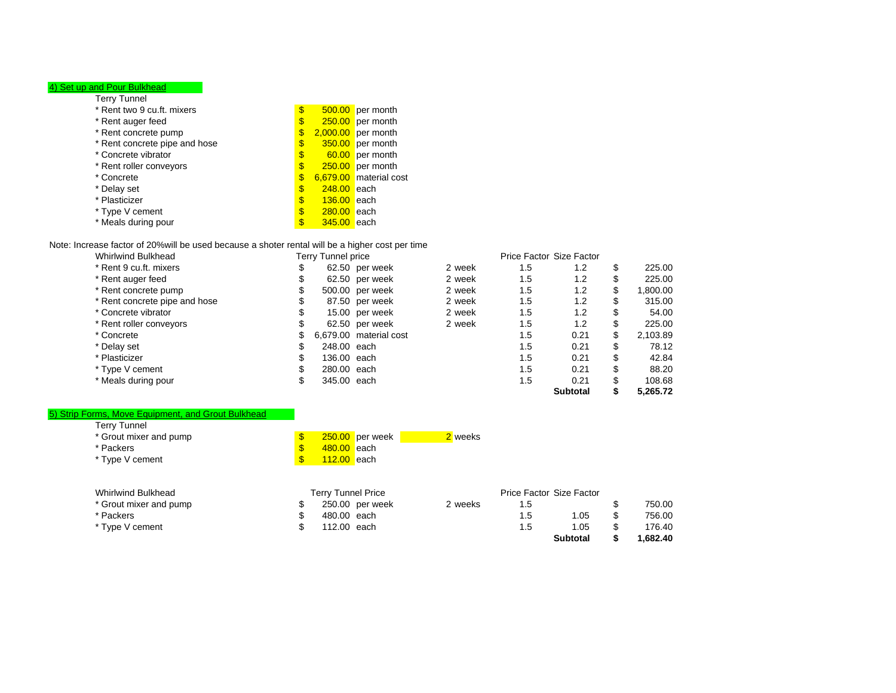#### 4) Set up and Pour Bulkhead

| Terry Tunnel                  |                     |                        |
|-------------------------------|---------------------|------------------------|
| * Rent two 9 cu.ft. mixers    | \$                  | $500.00$ per month     |
| * Rent auger feed             | \$                  | $250.00$ per month     |
| * Rent concrete pump          | \$                  | $2,000.00$ per month   |
| * Rent concrete pipe and hose | \$                  | 350.00 per month       |
| * Concrete vibrator           | \$                  | 60.00 per month        |
| * Rent roller conveyors       | \$                  | $250.00$ per month     |
| * Concrete                    | \$                  | 6,679.00 material cost |
| * Delay set                   | \$<br>$248.00$ each |                        |
| * Plasticizer                 | \$<br>$136.00$ each |                        |
| * Type V cement               | \$<br>280.00 each   |                        |
| * Meals during pour           | \$<br>345.00        | each                   |
|                               |                     |                        |

### Note: Increase factor of 20%will be used because a shoter rental will be a higher cost per time

| <b>Whirlwind Bulkhead</b>     |    | Terry Tunnel price |                        |        |     | Price Factor Size Factor |     |          |
|-------------------------------|----|--------------------|------------------------|--------|-----|--------------------------|-----|----------|
| * Rent 9 cu.ft. mixers        | S  |                    | 62.50 per week         | 2 week | 1.5 | 1.2                      | S   | 225.00   |
| * Rent auger feed             |    |                    | 62.50 per week         | 2 week | 1.5 | 1.2                      | S   | 225.00   |
| * Rent concrete pump          |    |                    | 500.00 per week        | 2 week | 1.5 | 1.2                      | S   | 1.800.00 |
| * Rent concrete pipe and hose |    |                    | 87.50 per week         | 2 week | 1.5 | 1.2                      | S   | 315.00   |
| * Concrete vibrator           |    |                    | 15.00 per week         | 2 week | 1.5 | 1.2                      | \$. | 54.00    |
| * Rent roller conveyors       |    |                    | 62.50 per week         | 2 week | 1.5 | 1.2                      | S   | 225.00   |
| * Concrete                    | \$ |                    | 6,679.00 material cost |        | 1.5 | 0.21                     | \$  | 2.103.89 |
| * Delay set                   |    | 248.00 each        |                        |        | 1.5 | 0.21                     | \$  | 78.12    |
| * Plasticizer                 |    | 136.00 each        |                        |        | 1.5 | 0.21                     | \$  | 42.84    |
| * Type V cement               |    | 280.00 each        |                        |        | 1.5 | 0.21                     | S   | 88.20    |
| * Meals during pour           |    | 345.00 each        |                        |        | 1.5 | 0.21                     |     | 108.68   |
|                               |    |                    |                        |        |     | <b>Subtotal</b>          |     | 5.265.72 |

#### Terry Tunnel 5) Strip Forms, Move Equipment, and Grout Bulkhead

| ieny i unier           |                    |                   |         |
|------------------------|--------------------|-------------------|---------|
| * Grout mixer and pump |                    | $250.00$ per week | 2 weeks |
| * Packers              | 480.00 each        |                   |         |
| * Type V cement        | <b>112.00</b> each |                   |         |

| Whirlwind Bulkhead     | Terry Tunnel Price |                 |         |     | Price Factor Size Factor |         |
|------------------------|--------------------|-----------------|---------|-----|--------------------------|---------|
| * Grout mixer and pump |                    | 250.00 per week | 2 weeks | 1.5 |                          | 750.00  |
| * Packers              | 480.00 each        |                 |         | 1.5 | 1.05                     | 756.00  |
| * Type V cement        | 112.00 each        |                 |         | 1.5 | 1.05                     | 176.40  |
|                        |                    |                 |         |     | Subtotal                 | .682.40 |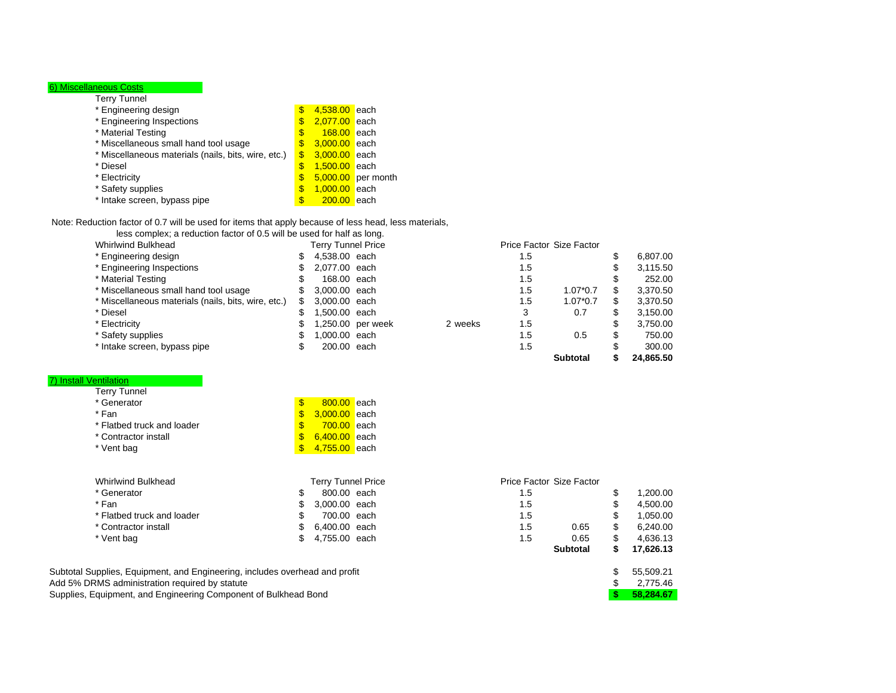## 6) Miscellaneous Costs

| Terry Tunnel                                        |                     |                    |
|-----------------------------------------------------|---------------------|--------------------|
| * Engineering design                                | \$<br>4,538.00 each |                    |
| * Engineering Inspections                           | \$<br>2,077.00 each |                    |
| * Material Testing                                  | \$<br>168.00        | <b>l</b> each      |
| * Miscellaneous small hand tool usage               | \$<br>3,000.00 each |                    |
| * Miscellaneous materials (nails, bits, wire, etc.) | \$<br>3.000.00 each |                    |
| * Diesel                                            | \$<br>1,500.00 each |                    |
| * Electricity                                       | \$                  | 5,000.00 per month |
| * Safety supplies                                   | \$<br>1,000.00 each |                    |
| * Intake screen, bypass pipe                        | \$<br>200.00        | <b>l</b> each      |
|                                                     |                     |                    |

#### Note: Reduction factor of 0.7 will be used for items that apply because of less head, less materials,

less complex; a reduction factor of 0.5 will be used for half as long.

| <b>Whirlwind Bulkhead</b>                           |    | <b>Terry Tunnel Price</b> |         | <b>Price Factor Size Factor</b> |                 |           |
|-----------------------------------------------------|----|---------------------------|---------|---------------------------------|-----------------|-----------|
| * Engineering design                                | S. | 4,538.00 each             |         | 1.5                             |                 | 6.807.00  |
| * Engineering Inspections                           | S. | 2,077.00 each             |         | 1.5                             |                 | 3,115.50  |
| * Material Testing                                  | S  | 168,00 each               |         | 1.5                             |                 | 252.00    |
| * Miscellaneous small hand tool usage               | S  | 3,000,00 each             |         | 1.5                             | $1.07*0.7$      | 3.370.50  |
| * Miscellaneous materials (nails, bits, wire, etc.) | S  | 3,000.00 each             |         | 1.5                             | $1.07*0.7$      | 3,370.50  |
| * Diesel                                            |    | 1.500.00 each             |         | 3                               | 0.7             | 3,150.00  |
| * Electricity                                       |    | 1,250.00 per week         | 2 weeks | 1.5                             |                 | 3,750.00  |
| * Safety supplies                                   |    | 1.000.00 each             |         | 1.5                             | 0.5             | 750.00    |
| * Intake screen, bypass pipe                        |    | 200.00 each               |         | 1.5                             |                 | 300.00    |
|                                                     |    |                           |         |                                 | <b>Subtotal</b> | 24.865.50 |

## 7) Install Ventilation

|                            |                               | <b>Subtotal</b>          |    | 17,626.13 |
|----------------------------|-------------------------------|--------------------------|----|-----------|
| * Vent bag                 | 4,755.00 each<br>\$           | 1.5<br>0.65              | \$ | 4.636.13  |
| * Contractor install       | \$<br>6,400.00 each           | 1.5<br>0.65              | \$ | 6,240.00  |
| * Flatbed truck and loader | 700.00 each<br>J.             | 1.5                      | \$ | 1,050.00  |
| * Fan                      | S<br>3.000.00 each            | 1.5                      | S  | 4,500.00  |
| * Generator                | \$<br>800.00 each             | 1.5                      | \$ | 1,200.00  |
| Whirlwind Bulkhead         | <b>Terry Tunnel Price</b>     | Price Factor Size Factor |    |           |
| * Vent bag                 | $\mathbf{s}$<br>4,755.00 each |                          |    |           |
| * Contractor install       | $\mathbf{s}$<br>6.400.00 each |                          |    |           |
| * Flatbed truck and loader | S<br>700.00 each              |                          |    |           |
| * Fan                      | $\mathbf{s}$<br>3.000.00 each |                          |    |           |
| * Generator                | $\mathbf{\$}$<br>800.00 each  |                          |    |           |
| Terry Tunnel               |                               |                          |    |           |

Subtotal Supplies, Equipment, and Engineering, includes overhead and profit 55,509.21 \$55,509.21 \$55,509.21 Add 5% DRMS administration required by statute  $$3/775.46$ Supplies, Equipment, and Engineering Component of Bulkhead Bond **\$ 58,284.67**

| <b>Terry Tunnel Price</b> |     | Price Factor Size Factor |    |           |
|---------------------------|-----|--------------------------|----|-----------|
| \$<br>800.00 each         | 1.5 |                          | \$ | 1,200.00  |
| \$<br>3,000.00 each       | 1.5 |                          | \$ | 4,500.00  |
| \$<br>700.00 each         | 1.5 |                          | \$ | 1,050.00  |
| \$<br>6,400.00 each       | 1.5 | 0.65                     | \$ | 6,240.00  |
| \$<br>4,755.00 each       | 1.5 | 0.65                     | S  | 4,636.13  |
|                           |     | <b>Subtotal</b>          | \$ | 17,626.13 |
| head and profit           |     |                          | \$ | 55,509.21 |
|                           |     |                          | \$ | 2,775.46  |
| d Bond                    |     |                          | S  | 58.284.67 |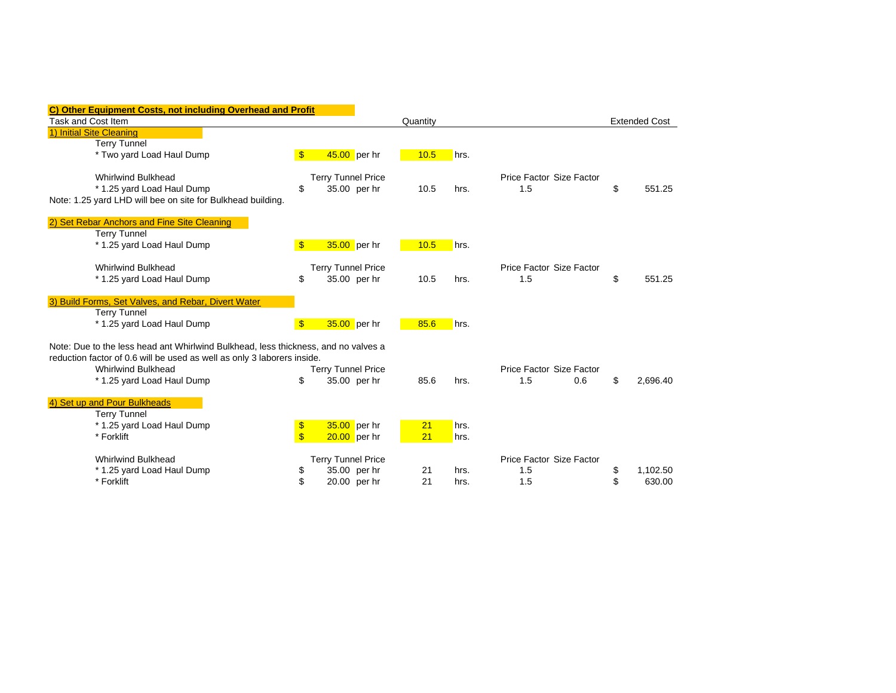| <b>Other Equipment Costs, not including Overhead and Profit</b>                    |               |                           |              |          |      |                          |                      |
|------------------------------------------------------------------------------------|---------------|---------------------------|--------------|----------|------|--------------------------|----------------------|
| <b>Task and Cost Item</b>                                                          |               |                           |              | Quantity |      |                          | <b>Extended Cost</b> |
| 1) Initial Site Cleaning                                                           |               |                           |              |          |      |                          |                      |
| <b>Terry Tunnel</b>                                                                |               |                           |              |          |      |                          |                      |
| * Two yard Load Haul Dump                                                          | $\mathbf{\$}$ | $45.00$ per hr            |              | 10.5     | hrs. |                          |                      |
| <b>Whirlwind Bulkhead</b>                                                          |               | <b>Terry Tunnel Price</b> |              |          |      | Price Factor Size Factor |                      |
| * 1.25 yard Load Haul Dump                                                         | \$            |                           | 35.00 per hr | 10.5     | hrs. | 1.5                      | \$<br>551.25         |
| Note: 1.25 yard LHD will bee on site for Bulkhead building.                        |               |                           |              |          |      |                          |                      |
| 2) Set Rebar Anchors and Fine Site Cleaning                                        |               |                           |              |          |      |                          |                      |
| <b>Terry Tunnel</b>                                                                |               |                           |              |          |      |                          |                      |
| * 1.25 yard Load Haul Dump                                                         | $\mathbf{\$}$ | 35.00 per hr              |              | 10.5     | hrs. |                          |                      |
| <b>Whirlwind Bulkhead</b>                                                          |               | <b>Terry Tunnel Price</b> |              |          |      | Price Factor Size Factor |                      |
| * 1.25 yard Load Haul Dump                                                         | \$            |                           | 35.00 per hr | 10.5     | hrs. | 1.5                      | \$<br>551.25         |
| 3) Build Forms, Set Valves, and Rebar, Divert Water                                |               |                           |              |          |      |                          |                      |
| <b>Terry Tunnel</b>                                                                |               |                           |              |          |      |                          |                      |
| * 1.25 yard Load Haul Dump                                                         | $\mathbf{\$}$ | 35.00 per hr              |              | 85.6     | hrs. |                          |                      |
| Note: Due to the less head ant Whirlwind Bulkhead, less thickness, and no valves a |               |                           |              |          |      |                          |                      |
| reduction factor of 0.6 will be used as well as only 3 laborers inside.            |               |                           |              |          |      |                          |                      |
| <b>Whirlwind Bulkhead</b>                                                          |               | <b>Terry Tunnel Price</b> |              |          |      | Price Factor Size Factor |                      |
| * 1.25 yard Load Haul Dump                                                         | \$            |                           | 35.00 per hr | 85.6     | hrs. | 1.5<br>0.6               | \$<br>2.696.40       |
| 4) Set up and Pour Bulkheads                                                       |               |                           |              |          |      |                          |                      |
| <b>Terry Tunnel</b>                                                                |               |                           |              |          |      |                          |                      |
| * 1.25 yard Load Haul Dump                                                         | \$            | 35.00 per hr              |              | 21       | hrs. |                          |                      |
| * Forklift                                                                         | $\sqrt[6]{3}$ | $20.00$ per hr            |              | 21       | hrs. |                          |                      |
| <b>Whirlwind Bulkhead</b>                                                          |               | <b>Terry Tunnel Price</b> |              |          |      | Price Factor Size Factor |                      |
| * 1.25 yard Load Haul Dump                                                         | \$            |                           | 35.00 per hr | 21       | hrs. | 1.5                      | \$<br>1,102.50       |
| * Forklift                                                                         | \$            |                           | 20.00 per hr | 21       | hrs. | 1.5                      | \$<br>630.00         |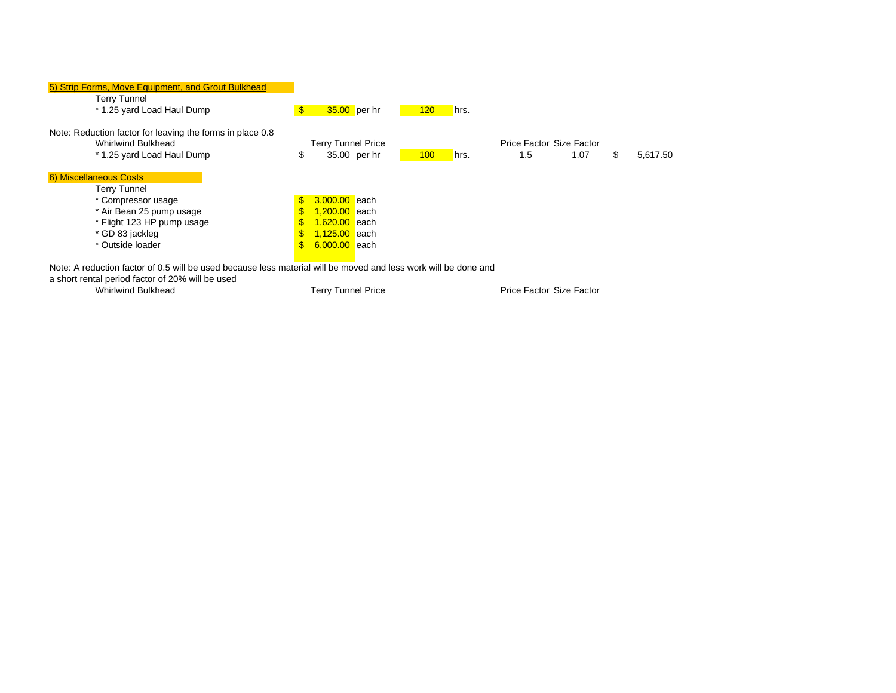| 5) Strip Forms, Move Equipment, and Grout Bulkhead        |                                                                    |
|-----------------------------------------------------------|--------------------------------------------------------------------|
| <b>Terry Tunnel</b>                                       |                                                                    |
| * 1.25 yard Load Haul Dump                                | $\mathbf{\$}$<br>$35.00$ per hr<br>120<br>hrs.                     |
| Note: Reduction factor for leaving the forms in place 0.8 |                                                                    |
| Whirlwind Bulkhead                                        | Price Factor Size Factor<br><b>Terry Tunnel Price</b>              |
| * 1.25 yard Load Haul Dump                                | 35.00 per hr<br>\$<br>100<br>1.5<br>5,617.50<br>1.07<br>hrs.<br>S. |
| 6) Miscellaneous Costs                                    |                                                                    |
| <b>Terry Tunnel</b>                                       |                                                                    |
| * Compressor usage                                        | 3.000.00 each<br>$\mathbb{S}$                                      |
| * Air Bean 25 pump usage                                  | 1,200.00 each<br>\$.                                               |
| * Flight 123 HP pump usage                                | 1,620.00 each<br>$\mathbf{s}$                                      |
| * GD 83 jackleg                                           | 1,125.00 each<br>$\mathbb{S}$                                      |
| * Outside loader                                          | $\mathbf{s}$<br>6,000.00 each                                      |
| .                                                         | .  .                                                               |

Note: A reduction factor of 0.5 will be used because less material will be moved and less work will be done and

a short rental period factor of 20% will be used

Whirlwind Bulkhead

Terry Tunnel Price

Price Factor Size Factor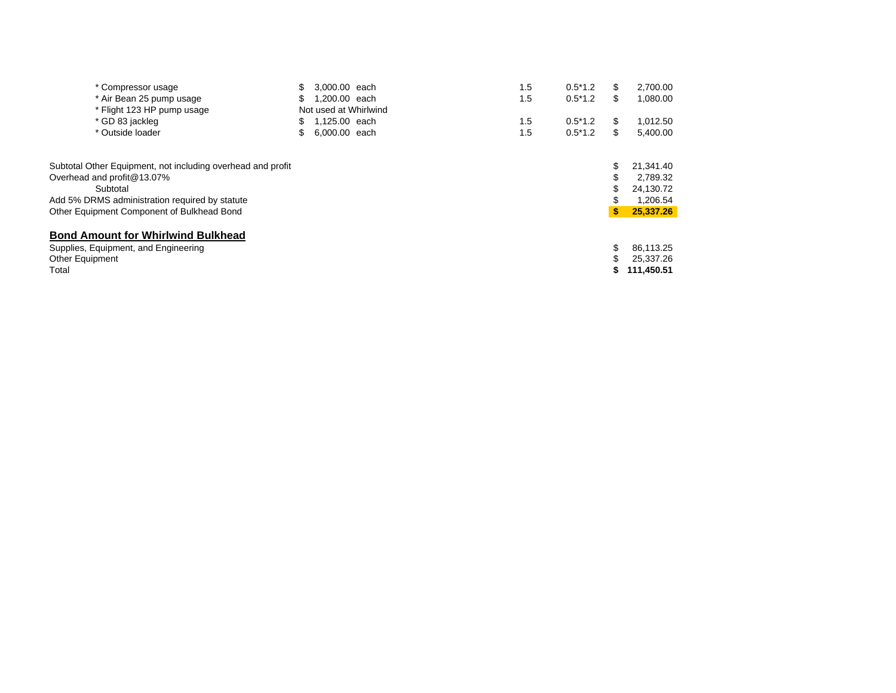| * Compressor usage                                          |     | 3.000.00 each         | 1.5 | $0.5*1.2$ | \$<br>2,700.00  |
|-------------------------------------------------------------|-----|-----------------------|-----|-----------|-----------------|
| * Air Bean 25 pump usage                                    |     | 1.200.00 each         | 1.5 | $0.5*1.2$ | \$<br>1,080.00  |
| * Flight 123 HP pump usage                                  |     | Not used at Whirlwind |     |           |                 |
| * GD 83 jackleg                                             | SS. | 1,125.00 each         | 1.5 | $0.5*1.2$ | \$<br>1,012.50  |
| * Outside loader                                            |     | 6,000,00 each         | 1.5 | $0.5*1.2$ | \$<br>5,400.00  |
| Subtotal Other Equipment, not including overhead and profit |     |                       |     |           | 21,341.40       |
| Overhead and profit@13.07%                                  |     |                       |     |           | 2.789.32        |
| Subtotal                                                    |     |                       |     |           | 24,130.72       |
| Add 5% DRMS administration required by statute              |     |                       |     |           | 1,206.54        |
| Other Equipment Component of Bulkhead Bond                  |     |                       |     |           | \$<br>25,337,26 |
| <b>Bond Amount for Whirlwind Bulkhead</b>                   |     |                       |     |           |                 |
| Supplies, Equipment, and Engineering                        |     |                       |     |           | 86.113.25       |
| Other Equipment                                             |     |                       |     |           | 25.337.26       |
| Total                                                       |     |                       |     |           | 111,450.51      |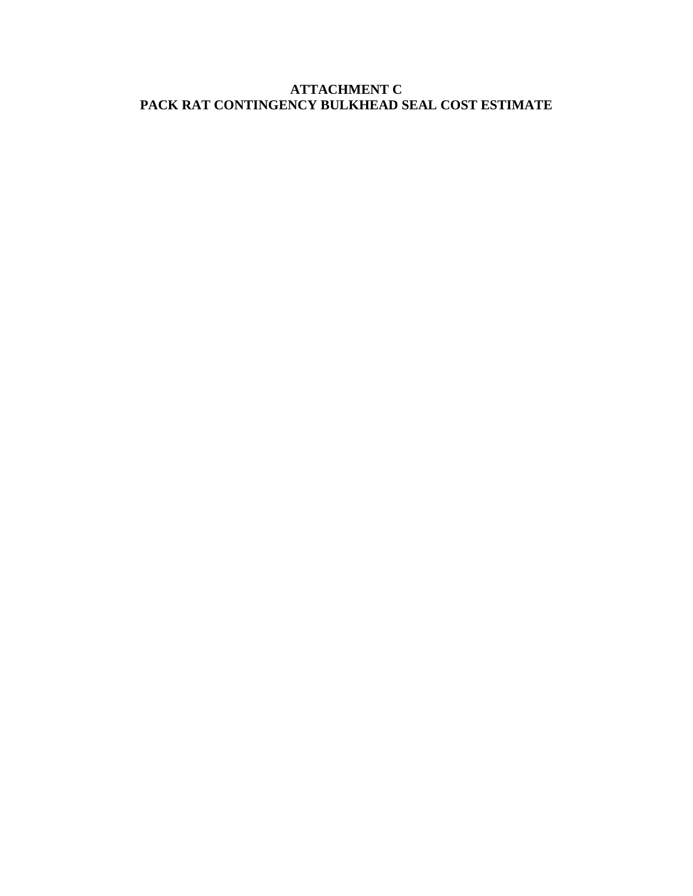## **ATTACHMENT C PACK RAT CONTINGENCY BULKHEAD SEAL COST ESTIMATE**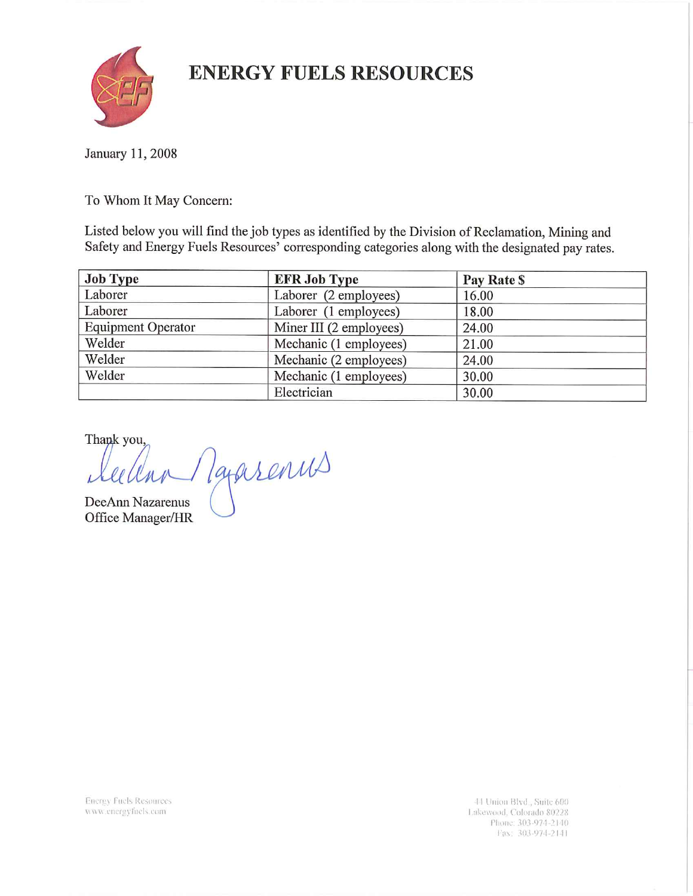## **ENERGY FUELS RESOURCES**



January 11, 2008

To Whom It May Concern:

Listed below you will find the job types as identified by the Division of Reclamation, Mining and Safety and Energy Fuels Resources' corresponding categories along with the designated pay rates.

| <b>Job Type</b>           | <b>EFR Job Type</b>     | Pay Rate \$ |
|---------------------------|-------------------------|-------------|
| Laborer                   | Laborer (2 employees)   | 16.00       |
| Laborer                   | Laborer (1 employees)   | 18.00       |
| <b>Equipment Operator</b> | Miner III (2 employees) | 24.00       |
| Welder                    | Mechanic (1 employees)  | 21.00       |
| Welder                    | Mechanic (2 employees)  | 24.00       |
| Welder                    | Mechanic (1 employees)  | 30.00       |
|                           | Electrician             | 30.00       |

Thank you,

Taparenus

DeeAnn Nazarenus Office Manager/HR

**Energy Fuels Resources** www.energyfuels.com

44 Union Blvd., Suite 600 Lakewood, Colorado 80228 Phone: 303-974-2140 Fax: 303-974-2141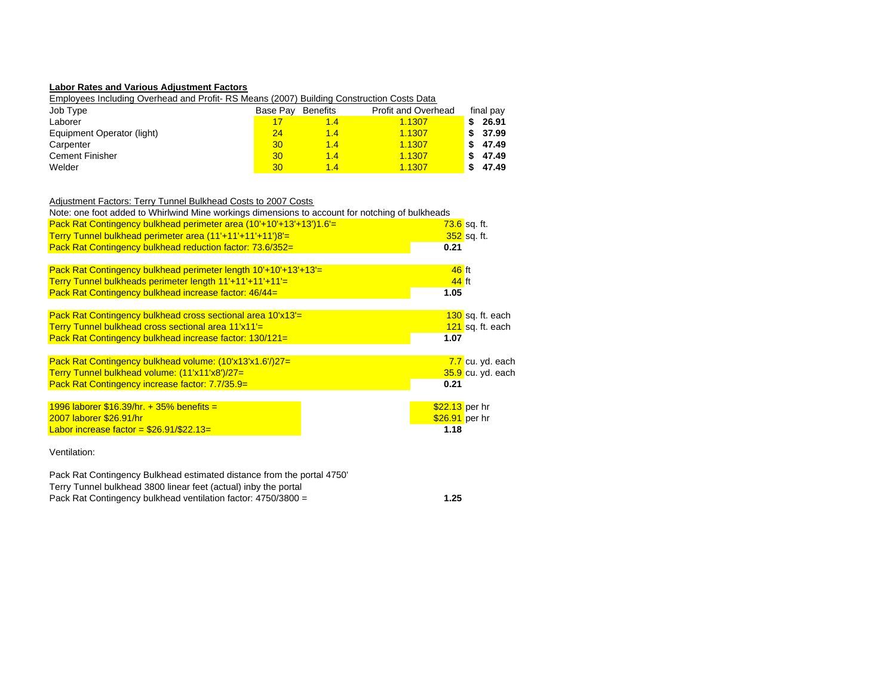#### **Labor Rates and Various Adjustment Factors**

Employees Including Overhead and Profit- RS Means (2007) Building Construction Costs Data

| Job Type                   | Base Pav | Benefits | <b>Profit and Overhead</b> | final pay |
|----------------------------|----------|----------|----------------------------|-----------|
| Laborer                    |          | 1.4      | 1.1307                     | 26.91     |
| Equipment Operator (light) | 24       | 1.4      | 1.1307                     | 37.99     |
| Carpenter                  | 30       | 1.4      | 1.1307                     | 47.49     |
| <b>Cement Finisher</b>     | 30       | 1.4      | 1.1307                     | 47.49     |
| Welder                     | 30       | 1.4      | 1.1307                     | 47.49     |

## Adjustment Factors: Terry Tunnel Bulkhead Costs to 2007 Costs

| Note: one foot added to Whirlwind Mine workings dimensions to account for notching of bulkheads |                           |
|-------------------------------------------------------------------------------------------------|---------------------------|
| Pack Rat Contingency bulkhead perimeter area (10'+10'+13'+13')1.6'=                             | <mark>73.6</mark> sq. ft. |
| Terry Tunnel bulkhead perimeter area (11'+11'+11'+11')8'=                                       | 352 sq. ft.               |
| Pack Rat Contingency bulkhead reduction factor: 73.6/352=                                       | 0.21                      |
|                                                                                                 |                           |
| Pack Rat Contingency bulkhead perimeter length $10'+10'+13'+13'=$                               | $46$ ft                   |
| Terry Tunnel bulkheads perimeter length 11'+11'+11'+11'=                                        | $44$ ft                   |
| Pack Rat Contingency bulkhead increase factor: 46/44=                                           | 1.05                      |
|                                                                                                 |                           |
| Pack Rat Contingency bulkhead cross sectional area 10'x13'=                                     | 130 sq. ft. each          |
| Terry Tunnel bulkhead cross sectional area 11'x11'=                                             | 121 sq. ft. each          |
| Pack Rat Contingency bulkhead increase factor: 130/121=                                         | 1.07                      |
|                                                                                                 |                           |
| Pack Rat Contingency bulkhead volume: (10'x13'x1.6'/)27=                                        | 7.7 cu. yd. each          |
| Terry Tunnel bulkhead volume: (11'x11'x8')/27=                                                  | 35.9 cu. yd. each         |
| Pack Rat Contingency increase factor: 7.7/35.9=                                                 | 0.21                      |
|                                                                                                 |                           |
| 1996 laborer \$16.39/hr. + 35% benefits =                                                       | $$22.13$ per hr           |
| 2007 laborer \$26.91/hr                                                                         | \$26.91 per hr            |
| Labor increase factor = $$26.91/\$22.13=$                                                       | 1.18                      |
|                                                                                                 |                           |
|                                                                                                 |                           |

Ventilation:

Pack Rat Contingency bulkhead ventilation factor: 4750/3800 = **1.25** Pack Rat Contingency Bulkhead estimated distance from the portal 4750' Terry Tunnel bulkhead 3800 linear feet (actual) inby the portal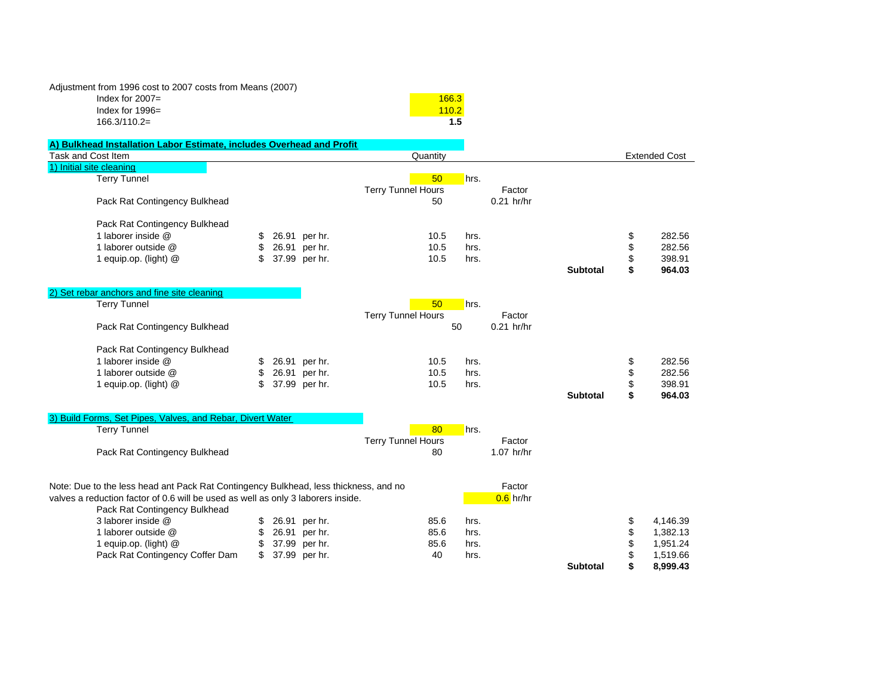| Adjustment from 1996 cost to 2007 costs from Means (2007) |       |
|-----------------------------------------------------------|-------|
| Index for $2007 =$                                        | 166.3 |
| Index for $1996=$                                         |       |

166.3/110.2=

| A) Bulkhead Installation Labor Estimate, includes Overhead and Profit                |    |               |                           |      |              |                 |                      |
|--------------------------------------------------------------------------------------|----|---------------|---------------------------|------|--------------|-----------------|----------------------|
| Task and Cost Item                                                                   |    |               | Quantity                  |      |              |                 | <b>Extended Cost</b> |
| 1) Initial site cleaning                                                             |    |               |                           |      |              |                 |                      |
| <b>Terry Tunnel</b>                                                                  |    |               | 50                        | hrs. |              |                 |                      |
|                                                                                      |    |               | <b>Terry Tunnel Hours</b> |      | Factor       |                 |                      |
| Pack Rat Contingency Bulkhead                                                        |    |               | 50                        |      | $0.21$ hr/hr |                 |                      |
|                                                                                      |    |               |                           |      |              |                 |                      |
| Pack Rat Contingency Bulkhead                                                        |    |               |                           |      |              |                 |                      |
| 1 laborer inside @                                                                   | \$ | 26.91 per hr. | 10.5                      | hrs. |              |                 | \$<br>282.56         |
| 1 laborer outside @                                                                  | \$ | 26.91 per hr. | 10.5                      | hrs. |              |                 | \$<br>282.56         |
| 1 equip.op. (light) @                                                                | \$ | 37.99 per hr. | 10.5                      | hrs. |              |                 | \$<br>398.91         |
|                                                                                      |    |               |                           |      |              | <b>Subtotal</b> | \$<br>964.03         |
|                                                                                      |    |               |                           |      |              |                 |                      |
| 2) Set rebar anchors and fine site cleaning<br><b>Terry Tunnel</b>                   |    |               | 50                        | hrs. |              |                 |                      |
|                                                                                      |    |               |                           |      | Factor       |                 |                      |
|                                                                                      |    |               | <b>Terry Tunnel Hours</b> | 50   | $0.21$ hr/hr |                 |                      |
| Pack Rat Contingency Bulkhead                                                        |    |               |                           |      |              |                 |                      |
| Pack Rat Contingency Bulkhead                                                        |    |               |                           |      |              |                 |                      |
| 1 laborer inside @                                                                   | \$ | 26.91 per hr. | 10.5                      | hrs. |              |                 | \$<br>282.56         |
| 1 laborer outside @                                                                  | \$ | 26.91 per hr. | 10.5                      | hrs. |              |                 | \$<br>282.56         |
| 1 equip.op. (light) @                                                                | \$ | 37.99 per hr. | 10.5                      | hrs. |              |                 | \$<br>398.91         |
|                                                                                      |    |               |                           |      |              | <b>Subtotal</b> | \$<br>964.03         |
|                                                                                      |    |               |                           |      |              |                 |                      |
| 3) Build Forms, Set Pipes, Valves, and Rebar, Divert Water                           |    |               |                           |      |              |                 |                      |
| <b>Terry Tunnel</b>                                                                  |    |               | 80                        | hrs. |              |                 |                      |
|                                                                                      |    |               | <b>Terry Tunnel Hours</b> |      | Factor       |                 |                      |
| Pack Rat Contingency Bulkhead                                                        |    |               | 80                        |      | $1.07$ hr/hr |                 |                      |
|                                                                                      |    |               |                           |      |              |                 |                      |
|                                                                                      |    |               |                           |      |              |                 |                      |
| Note: Due to the less head ant Pack Rat Contingency Bulkhead, less thickness, and no |    |               |                           |      | Factor       |                 |                      |
| valves a reduction factor of 0.6 will be used as well as only 3 laborers inside.     |    |               |                           |      | $0.6$ hr/hr  |                 |                      |
| Pack Rat Contingency Bulkhead                                                        |    |               |                           |      |              |                 |                      |
| 3 laborer inside @                                                                   | \$ | 26.91 per hr. | 85.6                      | hrs. |              |                 | \$<br>4,146.39       |
| 1 laborer outside @                                                                  | \$ | 26.91 per hr. | 85.6                      | hrs. |              |                 | \$<br>1,382.13       |
| 1 equip.op. (light) @                                                                | \$ | 37.99 per hr. | 85.6                      | hrs. |              |                 | \$<br>1,951.24       |
| Pack Rat Contingency Coffer Dam                                                      | \$ | 37.99 per hr. | 40                        | hrs. |              |                 | \$<br>1,519.66       |
|                                                                                      |    |               |                           |      |              | <b>Subtotal</b> | \$<br>8,999.43       |

**1.5**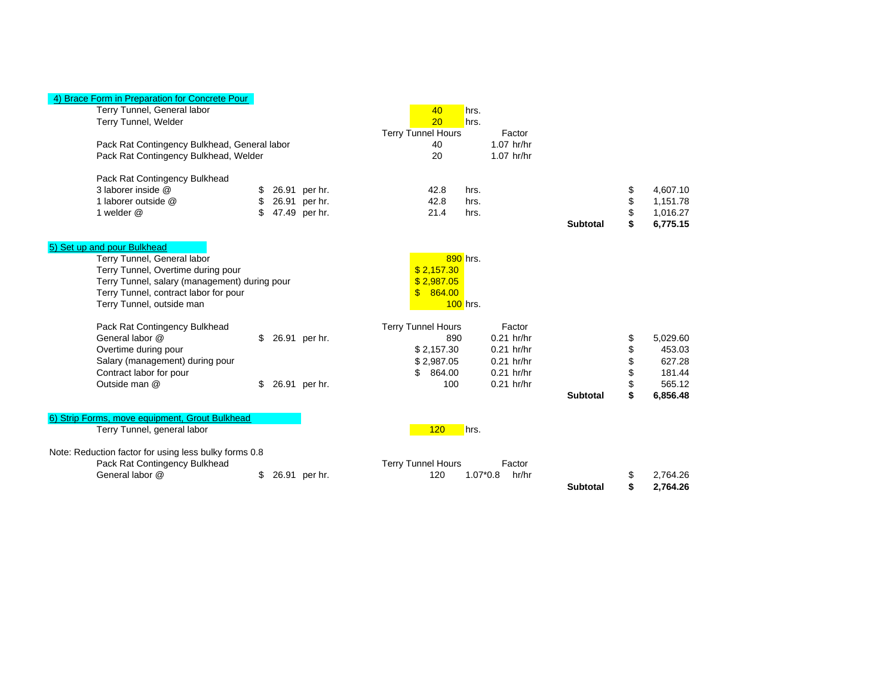## 4) Brace Form in Preparation for Concrete Pour

| Terry Tunnel, General labor<br>Terry Tunnel, Welder   |    |               | 40<br>20<br><b>Terry Tunnel Hours</b> | hrs.<br>hrs. | Factor       |                 |    |          |
|-------------------------------------------------------|----|---------------|---------------------------------------|--------------|--------------|-----------------|----|----------|
| Pack Rat Contingency Bulkhead, General labor          |    |               | 40                                    |              | $1.07$ hr/hr |                 |    |          |
| Pack Rat Contingency Bulkhead, Welder                 |    |               | 20                                    |              | 1.07 hr/hr   |                 |    |          |
|                                                       |    |               |                                       |              |              |                 |    |          |
| Pack Rat Contingency Bulkhead                         |    |               |                                       |              |              |                 |    |          |
| 3 laborer inside @                                    |    | 26.91 per hr. | 42.8                                  | hrs.         |              |                 | \$ | 4,607.10 |
| 1 laborer outside @                                   | \$ | 26.91 per hr. | 42.8                                  | hrs.         |              |                 | \$ | 1,151.78 |
| 1 welder @                                            |    | 47.49 per hr. | 21.4                                  | hrs.         |              |                 | \$ | 1,016.27 |
|                                                       |    |               |                                       |              |              | <b>Subtotal</b> | \$ | 6,775.15 |
|                                                       |    |               |                                       |              |              |                 |    |          |
| 5) Set up and pour Bulkhead                           |    |               |                                       |              |              |                 |    |          |
| Terry Tunnel, General labor                           |    |               |                                       | $890$ hrs.   |              |                 |    |          |
| Terry Tunnel, Overtime during pour                    |    |               | \$2,157.30                            |              |              |                 |    |          |
| Terry Tunnel, salary (management) during pour         |    |               | \$2.987.05                            |              |              |                 |    |          |
| Terry Tunnel, contract labor for pour                 |    |               | $\mathbf{s}$<br>864.00                |              |              |                 |    |          |
| Terry Tunnel, outside man                             |    |               |                                       | $100$ hrs.   |              |                 |    |          |
| Pack Rat Contingency Bulkhead                         |    |               | <b>Terry Tunnel Hours</b>             |              | Factor       |                 |    |          |
| General labor @                                       | \$ | 26.91 per hr. | 890                                   |              | $0.21$ hr/hr |                 | \$ | 5,029.60 |
| Overtime during pour                                  |    |               | \$2,157.30                            |              | $0.21$ hr/hr |                 | \$ | 453.03   |
| Salary (management) during pour                       |    |               | \$2,987.05                            |              | $0.21$ hr/hr |                 | \$ | 627.28   |
| Contract labor for pour                               |    |               | 864.00<br>\$.                         |              | $0.21$ hr/hr |                 | \$ | 181.44   |
| Outside man @                                         | \$ | 26.91 per hr. | 100                                   |              | $0.21$ hr/hr |                 |    | 565.12   |
|                                                       |    |               |                                       |              |              | <b>Subtotal</b> | \$ | 6,856.48 |
|                                                       |    |               |                                       |              |              |                 |    |          |
| 6) Strip Forms, move equipment, Grout Bulkhead        |    |               |                                       |              |              |                 |    |          |
| Terry Tunnel, general labor                           |    |               | 120                                   | hrs.         |              |                 |    |          |
| Note: Reduction factor for using less bulky forms 0.8 |    |               |                                       |              |              |                 |    |          |
| Pack Rat Contingency Bulkhead                         |    |               | <b>Terry Tunnel Hours</b>             |              | Factor       |                 |    |          |
| General labor @                                       | \$ | 26.91 per hr. | 120                                   | $1.07*0.8$   | hr/hr        |                 | S  | 2,764.26 |
|                                                       |    |               |                                       |              |              | <b>Subtotal</b> | \$ | 2.764.26 |
|                                                       |    |               |                                       |              |              |                 |    |          |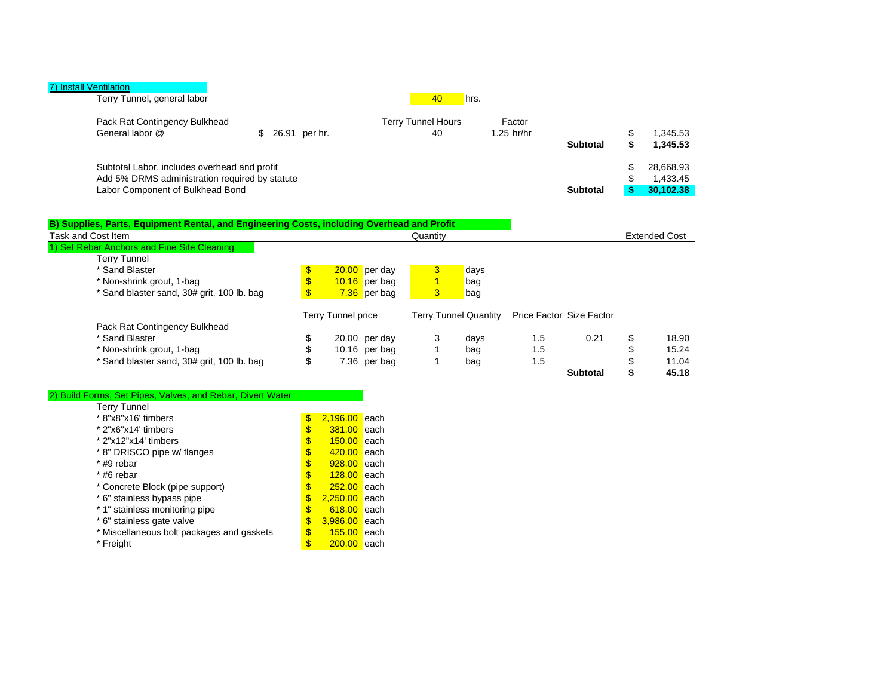| 40                              |                        |                 |                 |                                    |
|---------------------------------|------------------------|-----------------|-----------------|------------------------------------|
| <b>Terry Tunnel Hours</b><br>40 | Factor<br>$1.25$ hr/hr | <b>Subtotal</b> | \$              | 1,345.53<br>1.345.53               |
|                                 |                        |                 |                 | 28.668.93<br>1,433.45<br>30.102.38 |
|                                 |                        | hrs.            | <b>Subtotal</b> |                                    |

| B) Supplies, Parts, Equipment Rental, and Engineering Costs, including Overhead and Profit |                           |                 |          |                              |     |                          |                      |
|--------------------------------------------------------------------------------------------|---------------------------|-----------------|----------|------------------------------|-----|--------------------------|----------------------|
| Task and Cost Item                                                                         |                           |                 | Quantity |                              |     |                          | <b>Extended Cost</b> |
| 1) Set Rebar Anchors and Fine Site Cleaning                                                |                           |                 |          |                              |     |                          |                      |
| <b>Terry Tunnel</b>                                                                        |                           |                 |          |                              |     |                          |                      |
| * Sand Blaster                                                                             | \$                        | 20.00 per day   | 3        | days                         |     |                          |                      |
| * Non-shrink grout, 1-bag                                                                  |                           | $10.16$ per bag |          | bag                          |     |                          |                      |
| * Sand blaster sand, 30# grit, 100 lb. bag                                                 | \$                        | 7.36 per bag    | 3        | bag                          |     |                          |                      |
|                                                                                            | <b>Terry Tunnel price</b> |                 |          | <b>Terry Tunnel Quantity</b> |     | Price Factor Size Factor |                      |
| Pack Rat Contingency Bulkhead                                                              |                           |                 |          |                              |     |                          |                      |
| * Sand Blaster                                                                             | \$                        | 20.00 per day   | 3        | days                         | 1.5 | 0.21                     | 18.90                |
| * Non-shrink grout, 1-bag                                                                  |                           | 10.16 per bag   |          | bag                          | 1.5 |                          | 15.24                |
| Sand blaster sand, 30# grit, 100 lb. bag                                                   | \$                        | 7.36 per bag    |          | bag                          | 1.5 |                          | 11.04                |
|                                                                                            |                           |                 |          |                              |     | <b>Subtotal</b>          | 45.18                |

#### 2) Build Forms, Set Pipes, Valves, and Rebar, Divert Water

| Terry Tunnel                              |                     |               |
|-------------------------------------------|---------------------|---------------|
| * 8"x8"x16' timbers                       | \$<br>2,196.00 each |               |
| * 2"x6"x14' timbers                       | \$<br>381.00 each   |               |
| * 2"x12"x14' timbers                      | \$<br>$150.00$ each |               |
| * 8" DRISCO pipe w/ flanges               | \$<br>$420.00$ each |               |
| * #9 rebar                                | \$<br>928.00 each   |               |
| $*$ #6 rebar                              | \$<br>$128.00$ each |               |
| * Concrete Block (pipe support)           | \$<br>$252.00$ each |               |
| * 6" stainless bypass pipe                | \$<br>2,250.00 each |               |
| * 1" stainless monitoring pipe            | \$<br>$618.00$ each |               |
| * 6" stainless gate valve                 | \$<br>3.986.00      | <b>l</b> each |
| * Miscellaneous bolt packages and gaskets | \$<br>155.00        | <b>l</b> each |
| * Freight                                 | \$<br>200.00        | leach         |
|                                           |                     |               |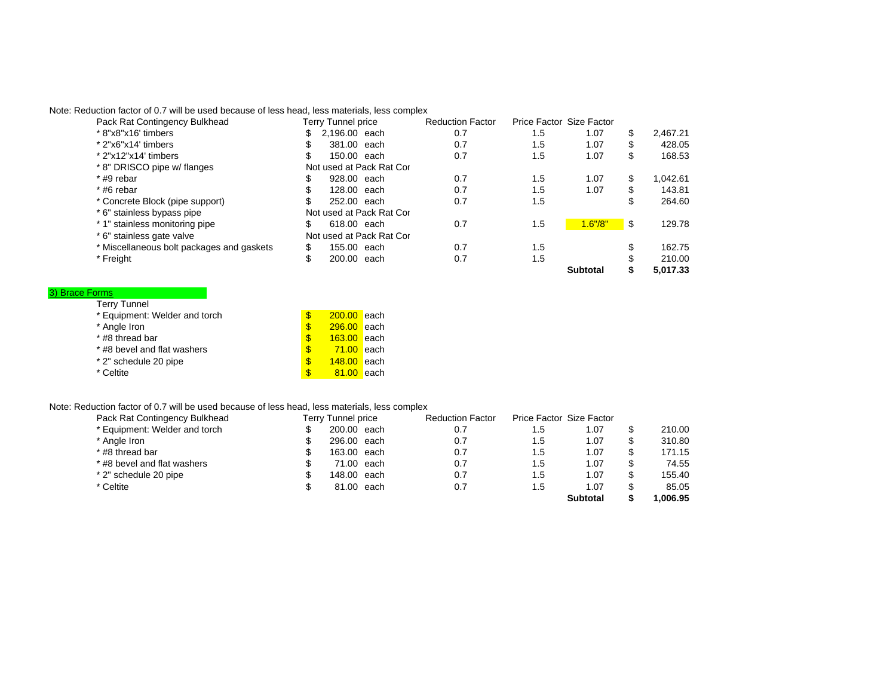Note: Reduction factor of 0.7 will be used because of less head, less materials, less complex

| Pack Rat Contingency Bulkhead             | Terry Tunnel price       | <b>Reduction Factor</b> |     | Price Factor Size Factor |    |          |
|-------------------------------------------|--------------------------|-------------------------|-----|--------------------------|----|----------|
| * 8"x8"x16' timbers                       | 2.196.00 each<br>\$      | 0.7                     | 1.5 | 1.07                     | S  | 2.467.21 |
| * 2"x6"x14' timbers                       | 381.00 each              | 0.7                     | 1.5 | 1.07                     | \$ | 428.05   |
| * 2"x12"x14' timbers                      | 150.00 each              | 0.7                     | 1.5 | 1.07                     | \$ | 168.53   |
| * 8" DRISCO pipe w/ flanges               | Not used at Pack Rat Cor |                         |     |                          |    |          |
| $*$ #9 rebar                              | 928.00 each              | 0.7                     | 1.5 | 1.07                     | S  | 1.042.61 |
| $*$ #6 rebar                              | 128,00 each              | 0.7                     | 1.5 | 1.07                     | S  | 143.81   |
| * Concrete Block (pipe support)           | 252,00 each              | 0.7                     | 1.5 |                          |    | 264.60   |
| * 6" stainless bypass pipe                | Not used at Pack Rat Cor |                         |     |                          |    |          |
| * 1" stainless monitoring pipe            | \$<br>618.00 each        | 0.7                     | 1.5 | 1.6''/8''                | \$ | 129.78   |
| * 6" stainless gate valve                 | Not used at Pack Rat Cor |                         |     |                          |    |          |
| * Miscellaneous bolt packages and gaskets | \$<br>155.00 each        | 0.7                     | 1.5 |                          | \$ | 162.75   |
| * Freight                                 | 200.00<br>each           | 0.7                     | 1.5 |                          |    | 210.00   |
|                                           |                          |                         |     | <b>Subtotal</b>          |    | 5.017.33 |

#### Terry Tunnel 3) Brace Forms

| $I$ city fullition            |          |               |       |
|-------------------------------|----------|---------------|-------|
| * Equipment: Welder and torch | <b>S</b> | 200.00 each   |       |
| * Angle Iron                  | <b>S</b> | $296.00$ each |       |
| * #8 thread bar               | <b>S</b> | $163.00$ each |       |
| * #8 bevel and flat washers   | \$       | $71.00$ each  |       |
| * 2" schedule 20 pipe         | \$       | 148.00 each   |       |
| * Celtite                     |          | 81.00         | leach |

## Note: Reduction factor of 0.7 will be used because of less head, less materials, less complex

| Pack Rat Contingency Bulkhead | Terry Tunnel price | <b>Reduction Factor</b> |     | Price Factor Size Factor |         |
|-------------------------------|--------------------|-------------------------|-----|--------------------------|---------|
| * Equipment: Welder and torch | 200.00 each        | 0.7                     | 1.5 | 1.07                     | 210.00  |
| * Angle Iron                  | 296.00 each        | 0.7                     | 1.5 | 1.07                     | 310.80  |
| * #8 thread bar               | 163.00 each        | 0.7                     | 1.5 | 1.07                     | 171.15  |
| * #8 bevel and flat washers   | 71.00 each         | 0.7                     | 1.5 | 1.07                     | 74.55   |
| * 2" schedule 20 pipe         | 148.00 each        | 0.7                     | 1.5 | 1.07                     | 155.40  |
| * Celtite                     | 81.00 each         | 0.7                     | 1.5 | 1.07                     | 85.05   |
|                               |                    |                         |     | Subtotal                 | .006.95 |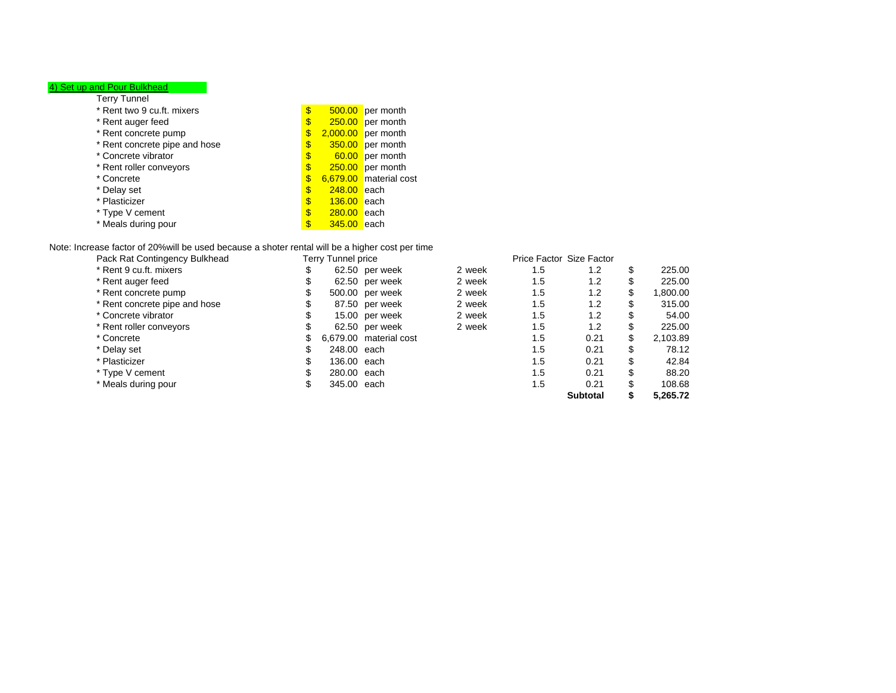#### 4) Set up and Pour Bulkhead

| Terry Tunnel                  |                     |                        |
|-------------------------------|---------------------|------------------------|
| * Rent two 9 cu.ft. mixers    | \$                  | $500.00$ per month     |
| * Rent auger feed             | \$                  | $250.00$ per month     |
| * Rent concrete pump          | \$                  | $2,000.00$ per month   |
| * Rent concrete pipe and hose | \$                  | $350.00$ per month     |
| * Concrete vibrator           | \$                  | 60.00 per month        |
| * Rent roller conveyors       | \$                  | $250.00$ per month     |
| * Concrete                    | \$                  | 6,679.00 material cost |
| * Delay set                   | \$<br>$248.00$ each |                        |
| * Plasticizer                 | \$<br>$136.00$ each |                        |
| * Type V cement               | \$<br>$280.00$ each |                        |
| * Meals during pour           | \$<br>345.00 each   |                        |

#### Note: Increase factor of 20%will be used because a shoter rental will be a higher cost per time

| Pack Rat Contingency Bulkhead | Terry Tunnel price |                        |        |     | Price Factor Size Factor |    |          |
|-------------------------------|--------------------|------------------------|--------|-----|--------------------------|----|----------|
| * Rent 9 cu.ft. mixers        |                    | 62.50 per week         | 2 week | 1.5 | 1.2                      |    | 225.00   |
| * Rent auger feed             |                    | 62.50 per week         | 2 week | 1.5 | 1.2                      | J  | 225.00   |
| * Rent concrete pump          |                    | 500.00 per week        | 2 week | 1.5 | 1.2                      | \$ | 1,800.00 |
| * Rent concrete pipe and hose |                    | 87.50 per week         | 2 week | 1.5 | 1.2                      | J  | 315.00   |
| * Concrete vibrator           |                    | 15.00 per week         | 2 week | 1.5 | 1.2                      | J  | 54.00    |
| * Rent roller conveyors       |                    | 62.50 per week         | 2 week | 1.5 | 1.2                      | \$ | 225.00   |
| * Concrete                    |                    | 6,679.00 material cost |        | 1.5 | 0.21                     | S  | 2,103.89 |
| * Delay set                   | 248.00 each        |                        |        | 1.5 | 0.21                     |    | 78.12    |
| * Plasticizer                 | 136.00 each        |                        |        | 1.5 | 0.21                     |    | 42.84    |
| * Type V cement               | 280.00 each        |                        |        | 1.5 | 0.21                     | S  | 88.20    |
| * Meals during pour           | 345.00 each        |                        |        | 1.5 | 0.21                     |    | 108.68   |
|                               |                    |                        |        |     | <b>Subtotal</b>          |    | 5.265.72 |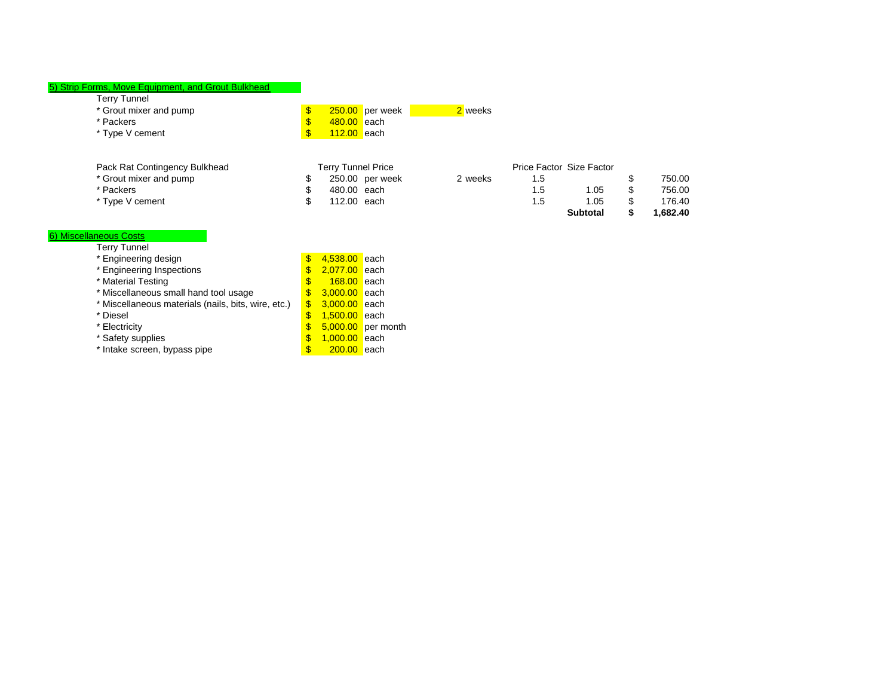| 5) Strip Forms, Move Equipment, and Grout Bulkhead |  |
|----------------------------------------------------|--|
|----------------------------------------------------|--|

|                               |   |                           |         |     | <b>Subtotal</b>          |   | 1.682.40 |
|-------------------------------|---|---------------------------|---------|-----|--------------------------|---|----------|
| * Type V cement               | æ | 112.00 each               |         | 1.5 | 1.05                     | S | 176.40   |
| * Packers                     | Œ | 480.00 each               |         | 1.5 | 1.05                     | S | 756.00   |
| * Grout mixer and pump        | S | 250.00 per week           | 2 weeks | 1.5 |                          |   | 750.00   |
| Pack Rat Contingency Bulkhead |   | <b>Terry Tunnel Price</b> |         |     | Price Factor Size Factor |   |          |
| * Type V cement               |   | $112.00$ each             |         |     |                          |   |          |
| * Packers                     |   | 480.00 each               |         |     |                          |   |          |
| * Grout mixer and pump        |   | $250.00$ per week         | 2 weeks |     |                          |   |          |

**Subtotal 1,682.40 \$** 

#### Terry Tunnel 6) Miscellaneous Costs

| * Engineering design                                | \$  | 4,538.00 each |                      |
|-----------------------------------------------------|-----|---------------|----------------------|
| * Engineering Inspections                           | \$  | 2,077.00 each |                      |
| * Material Testing                                  | S   | $168.00$ each |                      |
| * Miscellaneous small hand tool usage               | \$  | 3,000.00 each |                      |
| * Miscellaneous materials (nails, bits, wire, etc.) | \$  | 3,000.00 each |                      |
| * Diesel                                            | \$  | 1,500.00 each |                      |
| * Electricity                                       | \$  |               | $5,000.00$ per month |
| * Safety supplies                                   | \$  | 1,000.00 each |                      |
| * Intake screen, bypass pipe                        | \$. | 200.00 each   |                      |
|                                                     |     |               |                      |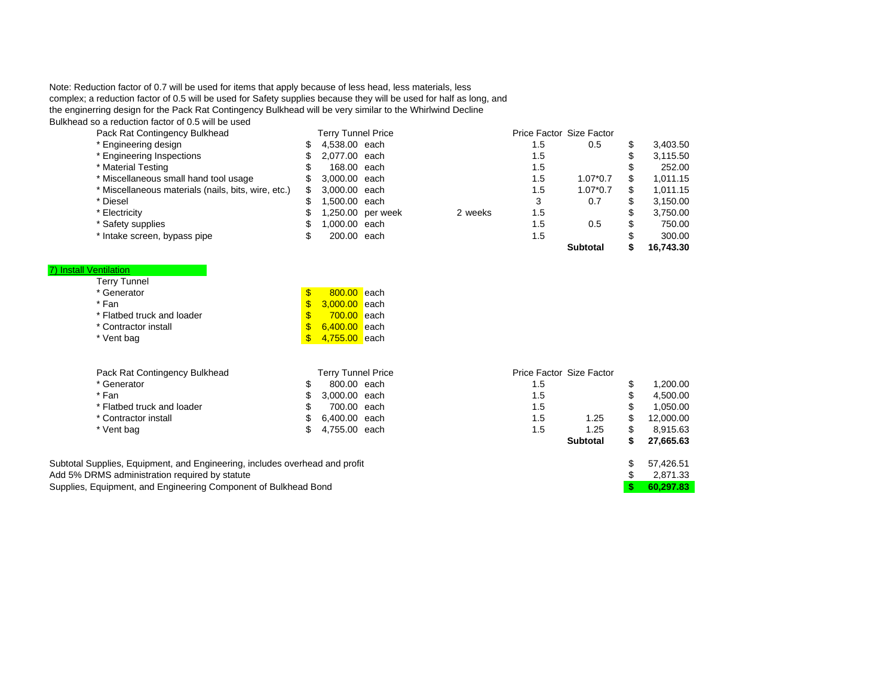Note: Reduction factor of 0.7 will be used for items that apply because of less head, less materials, less complex; a reduction factor of 0.5 will be used for Safety supplies because they will be used for half as long, and the enginerring design for the Pack Rat Contingency Bulkhead will be very similar to the Whirlwind Decline Bulkhead so a reduction factor of 0.5 will be used

| Pack Rat Contingency Bulkhead                       |    | <b>Terry Tunnel Price</b> |                   |         |     | Price Factor Size Factor |          |
|-----------------------------------------------------|----|---------------------------|-------------------|---------|-----|--------------------------|----------|
| * Engineering design                                |    | 4,538.00 each             |                   |         | 1.5 | 0.5                      | 3,403.50 |
| * Engineering Inspections                           |    | 2.077.00 each             |                   |         | 1.5 |                          | 3,115.50 |
| * Material Testing                                  |    | 168.00 each               |                   |         | 1.5 |                          | 252.00   |
| * Miscellaneous small hand tool usage               | S. | 3,000,00 each             |                   |         | 1.5 | $1.07*0.7$               | 1,011.15 |
| * Miscellaneous materials (nails, bits, wire, etc.) |    | 3,000,00 each             |                   |         | 1.5 | $1.07*0.7$               | 1,011.15 |
| * Diesel                                            |    | 1.500.00 each             |                   |         | 3   | 0.7                      | 3.150.00 |
| * Electricity                                       |    |                           | 1,250.00 per week | 2 weeks | 1.5 |                          | 3,750.00 |
| * Safety supplies                                   |    | 1.000.00 each             |                   |         | 1.5 | 0.5                      | 750.00   |
| * Intake screen, bypass pipe                        |    | 200.00 each               |                   |         | 1.5 |                          | 300.00   |
|                                                     |    |                           |                   |         |     |                          |          |

|  |  | Material Testing |  |  |
|--|--|------------------|--|--|
|  |  |                  |  |  |

| 7) Install Ventilation        |                         |                           |     |                                                                                                                                   |                 |
|-------------------------------|-------------------------|---------------------------|-----|-----------------------------------------------------------------------------------------------------------------------------------|-----------------|
| <b>Terry Tunnel</b>           |                         |                           |     |                                                                                                                                   |                 |
| * Generator                   | $\overline{\mathbb{S}}$ | 800.00 each               |     |                                                                                                                                   |                 |
| * Fan                         | \$                      | 3.000.00 each             |     |                                                                                                                                   |                 |
| * Flatbed truck and loader    | \$.                     | <b>700.00</b> each        |     |                                                                                                                                   |                 |
| * Contractor install          | \$                      | 6.400.00 each             |     |                                                                                                                                   |                 |
| * Vent bag                    | \$                      | 4,755.00 each             |     |                                                                                                                                   |                 |
|                               |                         |                           |     |                                                                                                                                   |                 |
| Pack Rat Contingency Bulkhead |                         | <b>Terry Tunnel Price</b> |     | Price Factor Size Factor                                                                                                          |                 |
| * Generator                   | \$                      | 800.00 each               | 1.5 |                                                                                                                                   | 1,200.00        |
| * Fan                         |                         | 3,000.00 each             | 1.5 |                                                                                                                                   | 4,500.00        |
| * Flatbed truck and loader    | S                       | 700.00 each               | 1.5 |                                                                                                                                   | 1,050.00        |
| * Contractor install          |                         | 6.400.00 each             | 1.5 | 1.25                                                                                                                              | \$<br>12,000.00 |
| * Vent bag                    | S                       | 4,755.00 each             | 1.5 | 1.25                                                                                                                              | 8,915.63        |
|                               |                         |                           |     | $C1$ , $A2$ , $A3$ , $A4$ , $A5$ , $A6$ , $A7$ , $A8$ , $A9$ , $A1$ , $A1$ , $A2$ , $A3$ , $A4$ , $A5$ , $A6$ , $A7$ , $A8$ , $A$ | $27$ CCE C2     |

| Subtotal Supplies, Equipment, and Engineering, includes overhead and profit | \$ 57.426.51 |
|-----------------------------------------------------------------------------|--------------|
| Add 5% DRMS administration required by statute                              | 2,871.33     |
| Supplies, Equipment, and Engineering Component of Bulkhead Bond             | 60.297.83    |

|     | <b>Terry Tunnel Price</b> |     | Price Factor Size Factor |    |           |
|-----|---------------------------|-----|--------------------------|----|-----------|
| \$  | 800.00 each               | 1.5 |                          | \$ | 1,200.00  |
| \$  | 3,000.00 each             | 1.5 |                          | \$ | 4,500.00  |
| \$  | 700.00 each               | 1.5 |                          | \$ | 1,050.00  |
| \$  | 6,400.00 each             | 1.5 | 1.25                     | \$ | 12,000.00 |
| \$. | 4,755.00 each             | 1.5 | 1.25                     | \$ | 8,915.63  |
|     |                           |     | <b>Subtotal</b>          | S  | 27,665.63 |
|     | ead and profit            |     |                          | \$ | 57,426.51 |
|     |                           |     |                          | \$ | 2,871.33  |
|     | Bond                      |     |                          | \$ | 60,297.83 |
|     |                           |     |                          |    |           |

**Subtotal 16,743.30 \$**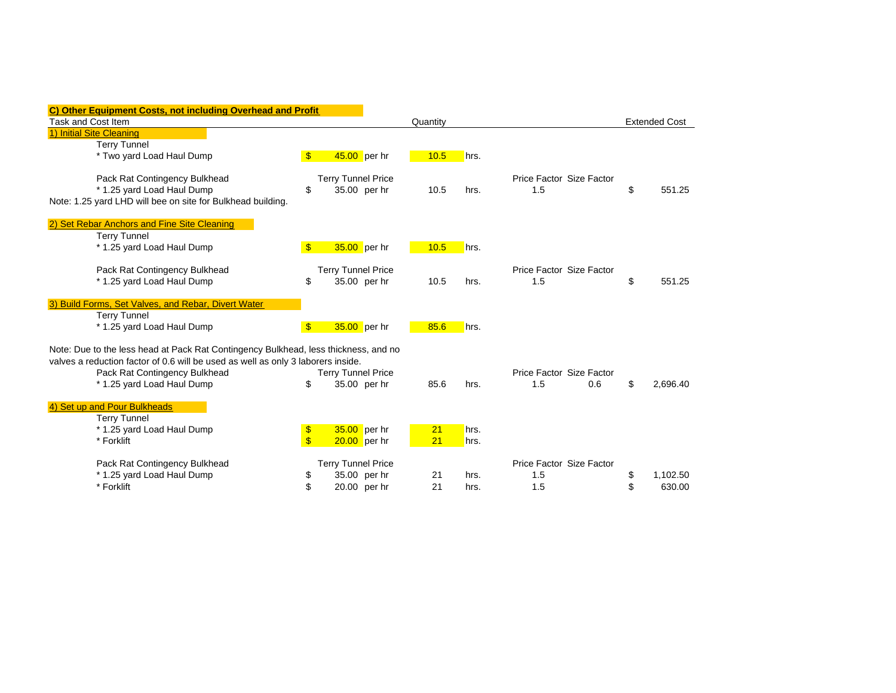| C) Other Equipment Costs, not including Overhead and Profit                         |                         |                           |                |          |      |      |                          |                      |
|-------------------------------------------------------------------------------------|-------------------------|---------------------------|----------------|----------|------|------|--------------------------|----------------------|
| Task and Cost Item                                                                  |                         |                           |                | Quantity |      |      |                          | <b>Extended Cost</b> |
| 1) Initial Site Cleaning                                                            |                         |                           |                |          |      |      |                          |                      |
| <b>Terry Tunnel</b>                                                                 |                         |                           |                |          |      |      |                          |                      |
| * Two yard Load Haul Dump                                                           | $\mathbf{s}$            | 45.00 per hr              |                |          | 10.5 | hrs. |                          |                      |
| Pack Rat Contingency Bulkhead                                                       |                         | <b>Terry Tunnel Price</b> |                |          |      |      | Price Factor Size Factor |                      |
| * 1.25 yard Load Haul Dump                                                          | \$                      |                           | 35.00 per hr   |          | 10.5 | hrs. | 1.5                      | \$<br>551.25         |
| Note: 1.25 yard LHD will bee on site for Bulkhead building.                         |                         |                           |                |          |      |      |                          |                      |
| 2) Set Rebar Anchors and Fine Site Cleaning                                         |                         |                           |                |          |      |      |                          |                      |
| <b>Terry Tunnel</b>                                                                 |                         |                           |                |          |      |      |                          |                      |
| * 1.25 yard Load Haul Dump                                                          | $\mathbf{\$}$           | 35.00 per hr              |                |          | 10.5 | hrs. |                          |                      |
| Pack Rat Contingency Bulkhead                                                       |                         | <b>Terry Tunnel Price</b> |                |          |      |      | Price Factor Size Factor |                      |
| * 1.25 yard Load Haul Dump                                                          | \$                      |                           | 35.00 per hr   |          | 10.5 | hrs. | 1.5                      | \$<br>551.25         |
| 3) Build Forms, Set Valves, and Rebar, Divert Water                                 |                         |                           |                |          |      |      |                          |                      |
| <b>Terry Tunnel</b>                                                                 |                         |                           |                |          |      |      |                          |                      |
| * 1.25 yard Load Haul Dump                                                          | $\mathbf{s}$            | 35.00 per hr              |                |          | 85.6 | hrs. |                          |                      |
| Note: Due to the less head at Pack Rat Contingency Bulkhead, less thickness, and no |                         |                           |                |          |      |      |                          |                      |
| valves a reduction factor of 0.6 will be used as well as only 3 laborers inside.    |                         |                           |                |          |      |      |                          |                      |
| Pack Rat Contingency Bulkhead                                                       |                         | <b>Terry Tunnel Price</b> |                |          |      |      | Price Factor Size Factor |                      |
| * 1.25 yard Load Haul Dump                                                          | \$                      |                           | 35.00 per hr   |          | 85.6 | hrs. | 1.5<br>0.6               | \$<br>2,696.40       |
| 4) Set up and Pour Bulkheads                                                        |                         |                           |                |          |      |      |                          |                      |
| <b>Terry Tunnel</b>                                                                 |                         |                           |                |          |      |      |                          |                      |
| * 1.25 yard Load Haul Dump                                                          | \$                      | 35.00 per hr              |                |          | 21   | hrs. |                          |                      |
| * Forklift                                                                          | $\overline{\mathbb{S}}$ |                           | $20.00$ per hr |          | 21   | hrs. |                          |                      |
| Pack Rat Contingency Bulkhead                                                       |                         | <b>Terry Tunnel Price</b> |                |          |      |      | Price Factor Size Factor |                      |
| * 1.25 yard Load Haul Dump                                                          | \$                      |                           | 35.00 per hr   |          | 21   | hrs. | 1.5                      | \$<br>1.102.50       |
| * Forklift                                                                          | \$                      | 20.00 per hr              |                |          | 21   | hrs. | 1.5                      | \$<br>630.00         |